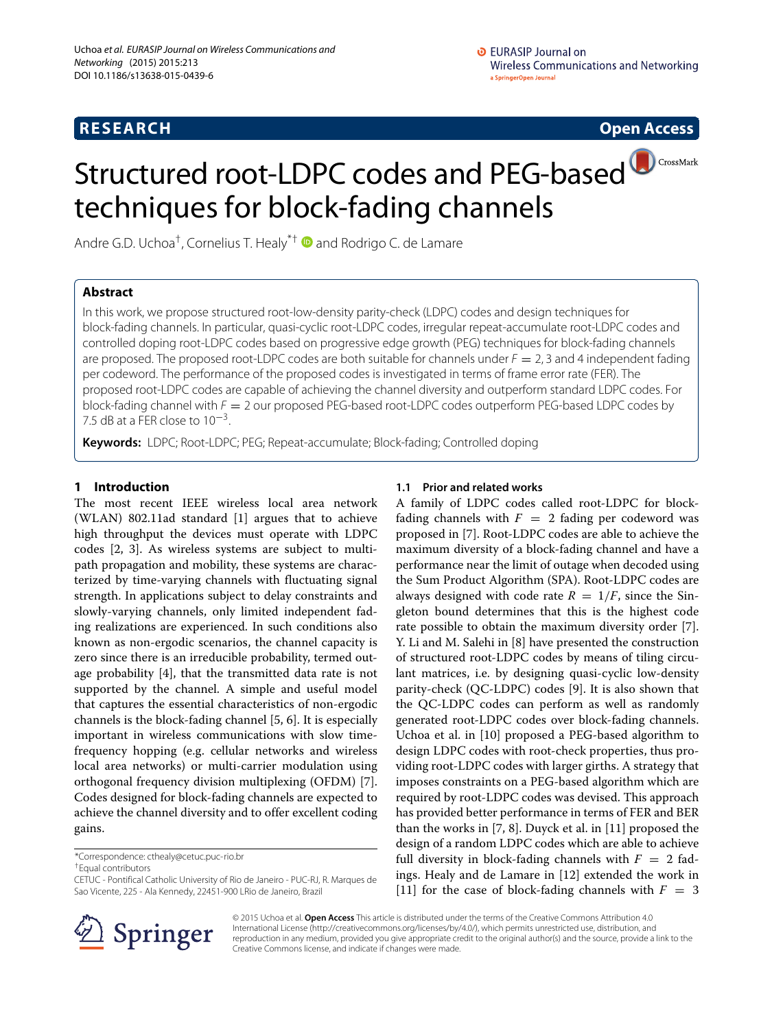# **RESEARCH Open Access**

# Structure[d](http://crossmark.crossref.org/dialog/?doi=10.1186/s13638-015-0439-6-x&domain=pdf) root-LDPC codes and PEG-based techniques for block-fading channels

Andre G.D. Uchoa<sup>†</sup>, Cornelius T. Healy<sup>\*†</sup>  $\bullet$  and Rodrigo C. de Lamare

### **Abstract**

In this work, we propose structured root-low-density parity-check (LDPC) codes and design techniques for block-fading channels. In particular, quasi-cyclic root-LDPC codes, irregular repeat-accumulate root-LDPC codes and controlled doping root-LDPC codes based on progressive edge growth (PEG) techniques for block-fading channels are proposed. The proposed root-LDPC codes are both suitable for channels under  $F = 2$ , 3 and 4 independent fading per codeword. The performance of the proposed codes is investigated in terms of frame error rate (FER). The proposed root-LDPC codes are capable of achieving the channel diversity and outperform standard LDPC codes. For block-fading channel with  $F = 2$  our proposed PEG-based root-LDPC codes outperform PEG-based LDPC codes by 7.5 dB at a FER close to  $10^{-3}$ .

**Keywords:** LDPC; Root-LDPC; PEG; Repeat-accumulate; Block-fading; Controlled doping

### **1 Introduction**

The most recent IEEE wireless local area network (WLAN) 802.11ad standard [\[1\]](#page-13-0) argues that to achieve high throughput the devices must operate with LDPC codes [\[2,](#page-13-1) [3\]](#page-13-2). As wireless systems are subject to multipath propagation and mobility, these systems are characterized by time-varying channels with fluctuating signal strength. In applications subject to delay constraints and slowly-varying channels, only limited independent fading realizations are experienced. In such conditions also known as non-ergodic scenarios, the channel capacity is zero since there is an irreducible probability, termed outage probability [\[4\]](#page-13-3), that the transmitted data rate is not supported by the channel. A simple and useful model that captures the essential characteristics of non-ergodic channels is the block-fading channel [\[5,](#page-13-4) [6\]](#page-13-5). It is especially important in wireless communications with slow timefrequency hopping (e.g. cellular networks and wireless local area networks) or multi-carrier modulation using orthogonal frequency division multiplexing (OFDM) [\[7\]](#page-13-6). Codes designed for block-fading channels are expected to achieve the channel diversity and to offer excellent coding gains.

### **1.1 Prior and related works**

A family of LDPC codes called root-LDPC for blockfading channels with  $F = 2$  fading per codeword was proposed in [\[7\]](#page-13-6). Root-LDPC codes are able to achieve the maximum diversity of a block-fading channel and have a performance near the limit of outage when decoded using the Sum Product Algorithm (SPA). Root-LDPC codes are always designed with code rate  $R = 1/F$ , since the Singleton bound determines that this is the highest code rate possible to obtain the maximum diversity order [\[7\]](#page-13-6). Y. Li and M. Salehi in [\[8\]](#page-13-7) have presented the construction of structured root-LDPC codes by means of tiling circulant matrices, i.e. by designing quasi-cyclic low-density parity-check (QC-LDPC) codes [\[9\]](#page-13-8). It is also shown that the QC-LDPC codes can perform as well as randomly generated root-LDPC codes over block-fading channels. Uchoa et al. in [\[10\]](#page-14-0) proposed a PEG-based algorithm to design LDPC codes with root-check properties, thus providing root-LDPC codes with larger girths. A strategy that imposes constraints on a PEG-based algorithm which are required by root-LDPC codes was devised. This approach has provided better performance in terms of FER and BER than the works in [\[7,](#page-13-6) [8\]](#page-13-7). Duyck et al. in [\[11\]](#page-14-1) proposed the design of a random LDPC codes which are able to achieve full diversity in block-fading channels with  $F = 2$  fadings. Healy and de Lamare in [\[12\]](#page-14-2) extended the work in [\[11\]](#page-14-1) for the case of block-fading channels with  $F = 3$ 



© 2015 Uchoa et al. **Open Access** This article is distributed under the terms of the Creative Commons Attribution 4.0 International License [\(http://creativecommons.org/licenses/by/4.0/\)](http://creativecommons.org/licenses/by/4.0/), which permits unrestricted use, distribution, and reproduction in any medium, provided you give appropriate credit to the original author(s) and the source, provide a link to the Creative Commons license, and indicate if changes were made.

<sup>\*</sup>Correspondence: [cthealy@cetuc.puc-rio.br](mailto: cthealy@cetuc.puc-rio.br)

<sup>†</sup>Equal contributors

CETUC - Pontifical Catholic University of Rio de Janeiro - PUC-RJ, R. Marques de Sao Vicente, 225 - Ala Kennedy, 22451-900 LRio de Janeiro, Brazil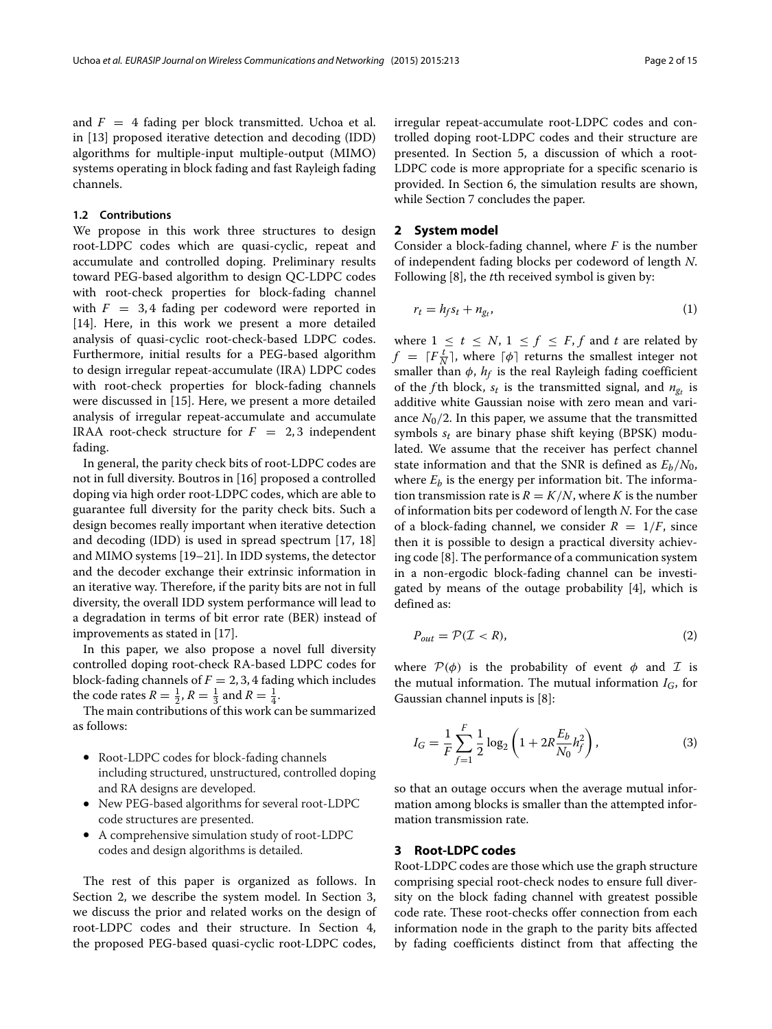and  $F = 4$  fading per block transmitted. Uchoa et al. in [\[13\]](#page-14-3) proposed iterative detection and decoding (IDD) algorithms for multiple-input multiple-output (MIMO) systems operating in block fading and fast Rayleigh fading channels.

#### **1.2 Contributions**

We propose in this work three structures to design root-LDPC codes which are quasi-cyclic, repeat and accumulate and controlled doping. Preliminary results toward PEG-based algorithm to design QC-LDPC codes with root-check properties for block-fading channel with  $F = 3, 4$  fading per codeword were reported in [\[14\]](#page-14-4). Here, in this work we present a more detailed analysis of quasi-cyclic root-check-based LDPC codes. Furthermore, initial results for a PEG-based algorithm to design irregular repeat-accumulate (IRA) LDPC codes with root-check properties for block-fading channels were discussed in [\[15\]](#page-14-5). Here, we present a more detailed analysis of irregular repeat-accumulate and accumulate IRAA root-check structure for  $F = 2, 3$  independent fading.

In general, the parity check bits of root-LDPC codes are not in full diversity. Boutros in [\[16\]](#page-14-6) proposed a controlled doping via high order root-LDPC codes, which are able to guarantee full diversity for the parity check bits. Such a design becomes really important when iterative detection and decoding (IDD) is used in spread spectrum [\[17,](#page-14-7) [18\]](#page-14-8) and MIMO systems [\[19](#page-14-9)[–21\]](#page-14-10). In IDD systems, the detector and the decoder exchange their extrinsic information in an iterative way. Therefore, if the parity bits are not in full diversity, the overall IDD system performance will lead to a degradation in terms of bit error rate (BER) instead of improvements as stated in [\[17\]](#page-14-7).

In this paper, we also propose a novel full diversity controlled doping root-check RA-based LDPC codes for block-fading channels of  $F = 2, 3, 4$  fading which includes the code rates  $R = \frac{1}{2}$ ,  $R = \frac{1}{3}$  and  $R = \frac{1}{4}$ .

The main contributions of this work can be summarized as follows:

- Root-LDPC codes for block-fading channels including structured, unstructured, controlled doping and RA designs are developed.
- New PEG-based algorithms for several root-LDPC code structures are presented.
- A comprehensive simulation study of root-LDPC codes and design algorithms is detailed.

The rest of this paper is organized as follows. In Section [2,](#page-1-0) we describe the system model. In Section [3,](#page-1-1) we discuss the prior and related works on the design of root-LDPC codes and their structure. In Section [4,](#page-3-0) the proposed PEG-based quasi-cyclic root-LDPC codes,

irregular repeat-accumulate root-LDPC codes and controlled doping root-LDPC codes and their structure are presented. In Section [5,](#page-9-0) a discussion of which a root-LDPC code is more appropriate for a specific scenario is provided. In Section [6,](#page-9-1) the simulation results are shown, while Section [7](#page-12-0) concludes the paper.

### <span id="page-1-0"></span>**2 System model**

Consider a block-fading channel, where *F* is the number of independent fading blocks per codeword of length *N*. Following [\[8\]](#page-13-7), the *t*th received symbol is given by:

<span id="page-1-2"></span>
$$
r_t = h_f s_t + n_{g_t},\tag{1}
$$

where  $1 \le t \le N$ ,  $1 \le f \le F$ , *f* and *t* are related by  $f = \lfloor F \frac{t}{N} \rfloor$ , where  $\lceil \phi \rceil$  returns the smallest integer not smaller than  $\phi$ ,  $h_f$  is the real Rayleigh fading coefficient of the *f* th block,  $s_t$  is the transmitted signal, and  $n_{\sigma_t}$  is additive white Gaussian noise with zero mean and variance  $N_0/2$ . In this paper, we assume that the transmitted symbols *st* are binary phase shift keying (BPSK) modulated. We assume that the receiver has perfect channel state information and that the SNR is defined as  $E_b/N_0$ , where  $E_b$  is the energy per information bit. The information transmission rate is  $R = K/N$ , where *K* is the number of information bits per codeword of length *N*. For the case of a block-fading channel, we consider  $R = 1/F$ , since then it is possible to design a practical diversity achieving code [\[8\]](#page-13-7). The performance of a communication system in a non-ergodic block-fading channel can be investigated by means of the outage probability [\[4\]](#page-13-3), which is defined as:

$$
P_{out} = \mathcal{P}(\mathcal{I} < R),\tag{2}
$$

where  $\mathcal{P}(\phi)$  is the probability of event  $\phi$  and  $\mathcal{I}$  is the mutual information. The mutual information *IG*, for Gaussian channel inputs is [\[8\]](#page-13-7):

<span id="page-1-3"></span>
$$
I_G = \frac{1}{F} \sum_{f=1}^{F} \frac{1}{2} \log_2 \left( 1 + 2R \frac{E_b}{N_0} h_f^2 \right),\tag{3}
$$

so that an outage occurs when the average mutual information among blocks is smaller than the attempted information transmission rate.

#### <span id="page-1-1"></span>**3 Root-LDPC codes**

Root-LDPC codes are those which use the graph structure comprising special root-check nodes to ensure full diversity on the block fading channel with greatest possible code rate. These root-checks offer connection from each information node in the graph to the parity bits affected by fading coefficients distinct from that affecting the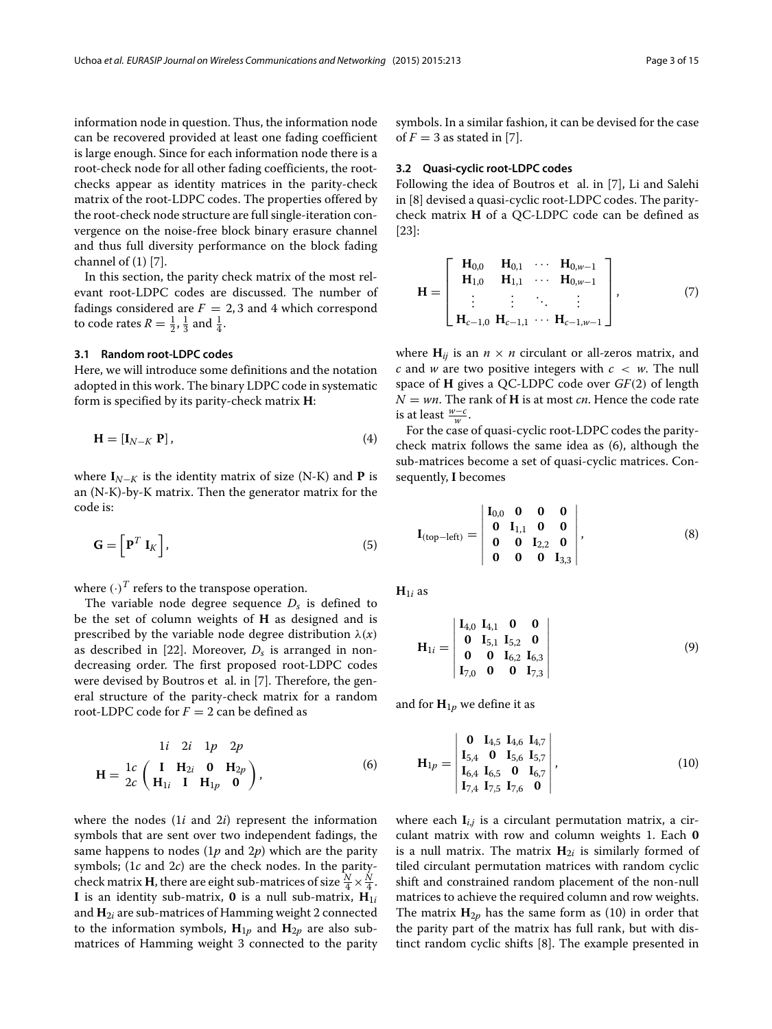information node in question. Thus, the information node can be recovered provided at least one fading coefficient is large enough. Since for each information node there is a root-check node for all other fading coefficients, the rootchecks appear as identity matrices in the parity-check matrix of the root-LDPC codes. The properties offered by the root-check node structure are full single-iteration convergence on the noise-free block binary erasure channel and thus full diversity performance on the block fading channel of [\(1\)](#page-1-2) [\[7\]](#page-13-6).

In this section, the parity check matrix of the most relevant root-LDPC codes are discussed. The number of fadings considered are  $F = 2, 3$  and 4 which correspond to code rates  $R = \frac{1}{2}, \frac{1}{3}$  and  $\frac{1}{4}$ .

#### **3.1 Random root-LDPC codes**

Here, we will introduce some definitions and the notation adopted in this work. The binary LDPC code in systematic form is specified by its parity-check matrix **H**:

$$
\mathbf{H} = [\mathbf{I}_{N-K} \; \mathbf{P}], \tag{4}
$$

where  $I_{N-K}$  is the identity matrix of size (N-K) and **P** is an (N-K)-by-K matrix. Then the generator matrix for the code is:

$$
\mathbf{G} = \left[ \mathbf{P}^T \mathbf{I}_K \right],\tag{5}
$$

where  $(\cdot)^T$  refers to the transpose operation.

The variable node degree sequence *Ds* is defined to be the set of column weights of **H** as designed and is prescribed by the variable node degree distribution  $\lambda(x)$ as described in [\[22\]](#page-14-11). Moreover,  $D<sub>s</sub>$  is arranged in nondecreasing order. The first proposed root-LDPC codes were devised by Boutros et al. in [\[7\]](#page-13-6). Therefore, the general structure of the parity-check matrix for a random root-LDPC code for  $F = 2$  can be defined as

$$
H = \frac{1}{2c} \begin{pmatrix} I & 1p & 2p \\ I & H_{2i} & 0 & H_{2p} \\ H_{1i} & I & H_{1p} & 0 \end{pmatrix},
$$
 (6)

where the nodes (1*i* and 2*i*) represent the information symbols that are sent over two independent fadings, the same happens to nodes (1*p* and 2*p*) which are the parity symbols; (1*c* and 2*c*) are the check nodes. In the paritycheck matrix **H**, there are eight sub-matrices of size  $\frac{N}{4} \times \frac{N}{4}$ . **I** is an identity sub-matrix, **0** is a null sub-matrix,  $H_{1i}$ and **H**2*<sup>i</sup>* are sub-matrices of Hamming weight 2 connected to the information symbols,  $H_{1p}$  and  $H_{2p}$  are also submatrices of Hamming weight 3 connected to the parity symbols. In a similar fashion, it can be devised for the case of  $F = 3$  as stated in [\[7\]](#page-13-6).

#### **3.2 Quasi-cyclic root-LDPC codes**

Following the idea of Boutros et al. in [\[7\]](#page-13-6), Li and Salehi in [\[8\]](#page-13-7) devised a quasi-cyclic root-LDPC codes. The paritycheck matrix **H** of a QC-LDPC code can be defined as [\[23\]](#page-14-12):

$$
\mathbf{H} = \begin{bmatrix} \mathbf{H}_{0,0} & \mathbf{H}_{0,1} & \cdots & \mathbf{H}_{0,w-1} \\ \mathbf{H}_{1,0} & \mathbf{H}_{1,1} & \cdots & \mathbf{H}_{0,w-1} \\ \vdots & \vdots & \ddots & \vdots \\ \mathbf{H}_{c-1,0} & \mathbf{H}_{c-1,1} & \cdots & \mathbf{H}_{c-1,w-1} \end{bmatrix},
$$
(7)

where  $H_{ij}$  is an  $n \times n$  circulant or all-zeros matrix, and *c* and *w* are two positive integers with *c* < *w*. The null space of **H** gives a QC-LDPC code over *GF*(2) of length  $N = wn$ . The rank of **H** is at most *cn*. Hence the code rate is at least *<sup>w</sup>*−*<sup>c</sup> <sup>w</sup>* .

For the case of quasi-cyclic root-LDPC codes the paritycheck matrix follows the same idea as [\(6\)](#page-2-0), although the sub-matrices become a set of quasi-cyclic matrices. Consequently, **I** becomes

<span id="page-2-2"></span>
$$
\mathbf{I}_{\text{(top-left)}} = \begin{vmatrix} \mathbf{I}_{0,0} & \mathbf{0} & \mathbf{0} & \mathbf{0} \\ \mathbf{0} & \mathbf{I}_{1,1} & \mathbf{0} & \mathbf{0} \\ \mathbf{0} & \mathbf{0} & \mathbf{I}_{2,2} & \mathbf{0} \\ \mathbf{0} & \mathbf{0} & \mathbf{0} & \mathbf{I}_{3,3} \end{vmatrix},
$$
 (8)

<span id="page-2-3"></span> $H_{1i}$  as

$$
\mathbf{H}_{1i} = \begin{vmatrix} \mathbf{I}_{4,0} & \mathbf{I}_{4,1} & \mathbf{0} & \mathbf{0} \\ \mathbf{0} & \mathbf{I}_{5,1} & \mathbf{I}_{5,2} & \mathbf{0} \\ \mathbf{0} & \mathbf{0} & \mathbf{I}_{6,2} & \mathbf{I}_{6,3} \\ \mathbf{I}_{7,0} & \mathbf{0} & \mathbf{0} & \mathbf{I}_{7,3} \end{vmatrix}
$$
 (9)

<span id="page-2-0"></span>and for  $H_{1p}$  we define it as

<span id="page-2-1"></span>
$$
\mathbf{H}_{1p} = \begin{vmatrix}\n\mathbf{0} & \mathbf{I}_{4,5} & \mathbf{I}_{4,6} & \mathbf{I}_{4,7} \\
\mathbf{I}_{5,4} & \mathbf{0} & \mathbf{I}_{5,6} & \mathbf{I}_{5,7} \\
\mathbf{I}_{6,4} & \mathbf{I}_{6,5} & \mathbf{0} & \mathbf{I}_{6,7} \\
\mathbf{I}_{7,4} & \mathbf{I}_{7,5} & \mathbf{I}_{7,6} & \mathbf{0}\n\end{vmatrix},
$$
\n(10)

where each  $I_{i,j}$  is a circulant permutation matrix, a circulant matrix with row and column weights 1. Each **0** is a null matrix. The matrix  $H_{2i}$  is similarly formed of tiled circulant permutation matrices with random cyclic shift and constrained random placement of the non-null matrices to achieve the required column and row weights. The matrix  $H_{2p}$  has the same form as [\(10\)](#page-2-1) in order that the parity part of the matrix has full rank, but with distinct random cyclic shifts [\[8\]](#page-13-7). The example presented in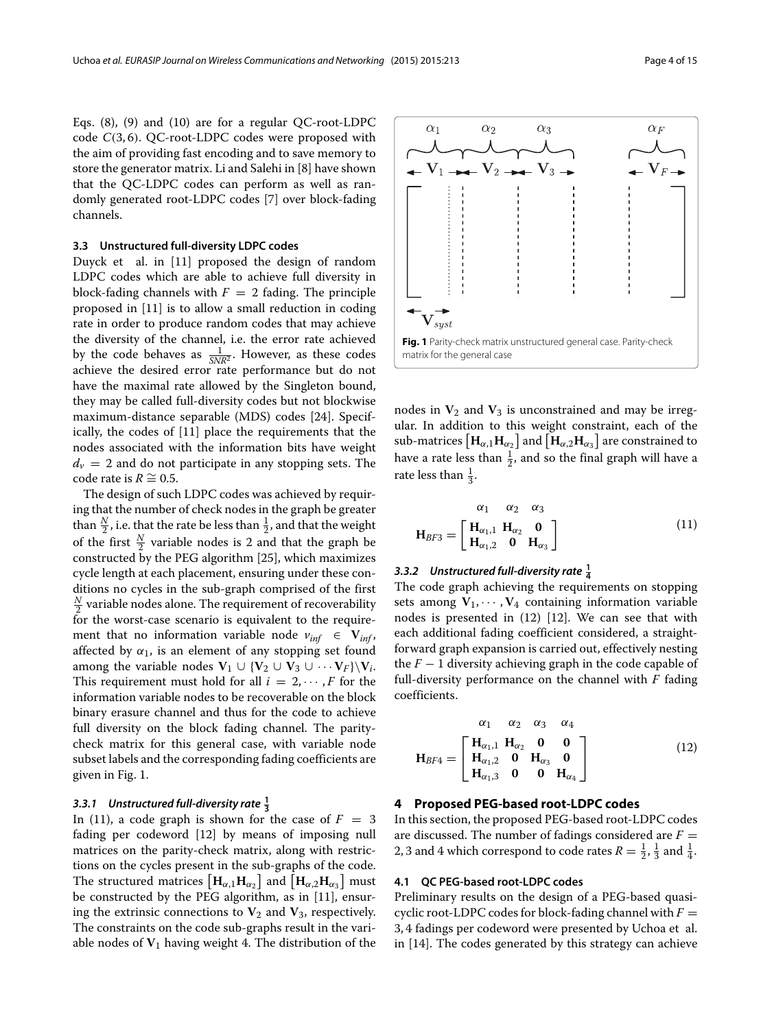Eqs. [\(8\)](#page-2-2), [\(9\)](#page-2-3) and [\(10\)](#page-2-1) are for a regular QC-root-LDPC code *C*(3, 6). QC-root-LDPC codes were proposed with the aim of providing fast encoding and to save memory to store the generator matrix. Li and Salehi in [\[8\]](#page-13-7) have shown that the QC-LDPC codes can perform as well as randomly generated root-LDPC codes [\[7\]](#page-13-6) over block-fading channels.

#### **3.3 Unstructured full-diversity LDPC codes**

Duyck et al. in [\[11\]](#page-14-1) proposed the design of random LDPC codes which are able to achieve full diversity in block-fading channels with  $F = 2$  fading. The principle proposed in [\[11\]](#page-14-1) is to allow a small reduction in coding rate in order to produce random codes that may achieve the diversity of the channel, i.e. the error rate achieved by the code behaves as  $\frac{1}{SNR^2}$ . However, as these codes achieve the desired error rate performance but do not have the maximal rate allowed by the Singleton bound, they may be called full-diversity codes but not blockwise maximum-distance separable (MDS) codes [\[24\]](#page-14-13). Specifically, the codes of [\[11\]](#page-14-1) place the requirements that the nodes associated with the information bits have weight  $d_v = 2$  and do not participate in any stopping sets. The code rate is  $R \cong 0.5$ .

The design of such LDPC codes was achieved by requiring that the number of check nodes in the graph be greater than  $\frac{N}{2}$ , i.e. that the rate be less than  $\frac{1}{2}$ , and that the weight of the first  $\frac{N}{2}$  variable nodes is 2 and that the graph be constructed by the PEG algorithm [\[25\]](#page-14-14), which maximizes cycle length at each placement, ensuring under these conditions no cycles in the sub-graph comprised of the first  $\frac{N}{2}$  variable nodes alone. The requirement of recoverability for the worst-case scenario is equivalent to the requirement that no information variable node  $v_{inf} \in V_{inf}$ , affected by  $\alpha_1$ , is an element of any stopping set found among the variable nodes  $V_1 \cup \{V_2 \cup V_3 \cup \cdots V_F\} \setminus V_i$ . This requirement must hold for all  $i = 2, \dots, F$  for the information variable nodes to be recoverable on the block binary erasure channel and thus for the code to achieve full diversity on the block fading channel. The paritycheck matrix for this general case, with variable node subset labels and the corresponding fading coefficients are given in Fig. [1.](#page-3-1)

# 3.3.1 Unstructured full-diversity rate  $\frac{1}{3}$

In [\(11\)](#page-3-2), a code graph is shown for the case of  $F = 3$ fading per codeword [\[12\]](#page-14-2) by means of imposing null matrices on the parity-check matrix, along with restrictions on the cycles present in the sub-graphs of the code. The structured matrices  $\left[\mathbf{H}_{\alpha,1} \mathbf{H}_{\alpha_2}\right]$  and  $\left[\mathbf{H}_{\alpha,2} \mathbf{H}_{\alpha_3}\right]$  must be constructed by the PEG algorithm, as in [\[11\]](#page-14-1), ensuring the extrinsic connections to  $V_2$  and  $V_3$ , respectively. The constraints on the code sub-graphs result in the variable nodes of **V**<sup>1</sup> having weight 4. The distribution of the



<span id="page-3-1"></span>nodes in  $V_2$  and  $V_3$  is unconstrained and may be irregular. In addition to this weight constraint, each of the  $\text{sub-matrices} \left[ \mathbf{H}_{\alpha,1} \mathbf{H}_{\alpha_2} \right]$  and  $\left[ \mathbf{H}_{\alpha,2} \mathbf{H}_{\alpha_3} \right]$  are constrained to have a rate less than  $\frac{1}{2}$ , and so the final graph will have a rate less than  $\frac{1}{3}$ .

<span id="page-3-2"></span>
$$
\mathbf{H}_{BF3} = \begin{bmatrix} \mathbf{H}_{\alpha_1,1} & \mathbf{H}_{\alpha_2} & \mathbf{0} \\ \mathbf{H}_{\alpha_1,2} & \mathbf{0} & \mathbf{H}_{\alpha_3} \end{bmatrix} \tag{11}
$$

# *3.3.2 Unstructured full-diversity rate* **<sup>1</sup> 4**

The code graph achieving the requirements on stopping sets among  $V_1, \dots, V_4$  containing information variable nodes is presented in [\(12\)](#page-3-3) [\[12\]](#page-14-2). We can see that with each additional fading coefficient considered, a straightforward graph expansion is carried out, effectively nesting the  $F-1$  diversity achieving graph in the code capable of full-diversity performance on the channel with *F* fading coefficients.

<span id="page-3-3"></span>
$$
\mathbf{H}_{BF4} = \begin{bmatrix} \alpha_1 & \alpha_2 & \alpha_3 & \alpha_4 \\ \mathbf{H}_{\alpha_1,1} & \mathbf{H}_{\alpha_2} & \mathbf{0} & \mathbf{0} \\ \mathbf{H}_{\alpha_1,2} & \mathbf{0} & \mathbf{H}_{\alpha_3} & \mathbf{0} \\ \mathbf{H}_{\alpha_1,3} & \mathbf{0} & \mathbf{0} & \mathbf{H}_{\alpha_4} \end{bmatrix}
$$
(12)

#### <span id="page-3-0"></span>**4 Proposed PEG-based root-LDPC codes**

In this section, the proposed PEG-based root-LDPC codes are discussed. The number of fadings considered are  $F =$ 2, 3 and 4 which correspond to code rates  $R = \frac{1}{2}$ ,  $\frac{1}{3}$  and  $\frac{1}{4}$ .

#### **4.1 QC PEG-based root-LDPC codes**

Preliminary results on the design of a PEG-based quasicyclic root-LDPC codes for block-fading channel with  $F =$ 3, 4 fadings per codeword were presented by Uchoa et al. in [\[14\]](#page-14-4). The codes generated by this strategy can achieve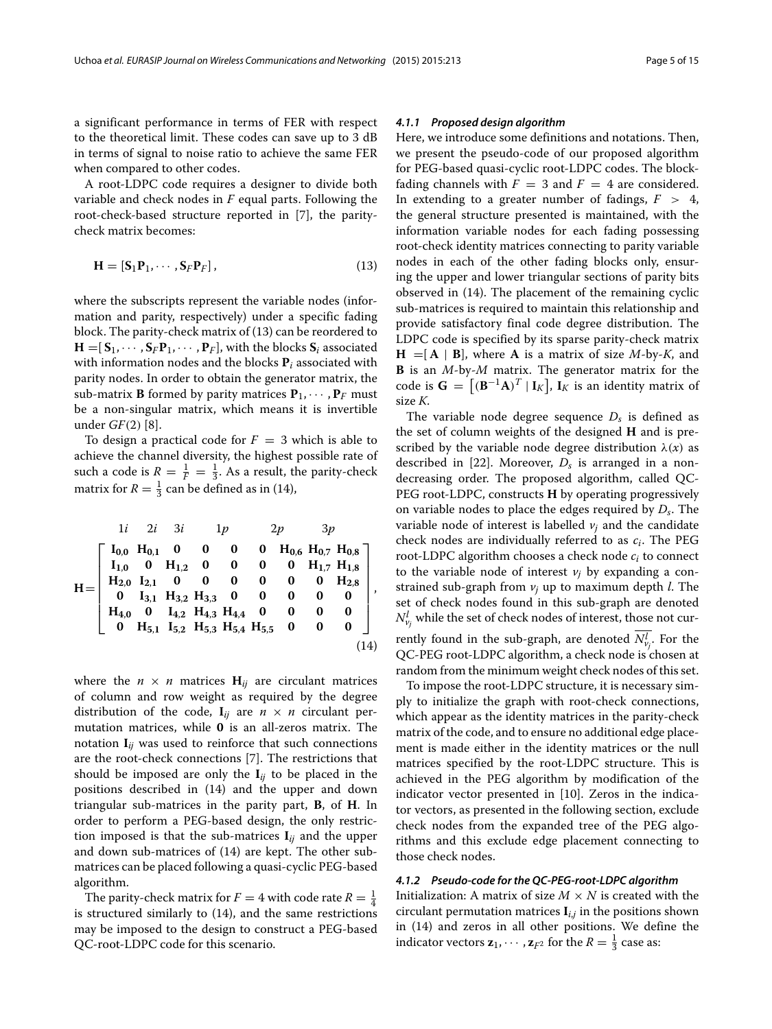a significant performance in terms of FER with respect to the theoretical limit. These codes can save up to 3 dB in terms of signal to noise ratio to achieve the same FER when compared to other codes.

A root-LDPC code requires a designer to divide both variable and check nodes in *F* equal parts. Following the root-check-based structure reported in [\[7\]](#page-13-6), the paritycheck matrix becomes:

<span id="page-4-0"></span>
$$
\mathbf{H} = \left[ \mathbf{S}_1 \mathbf{P}_1, \cdots, \mathbf{S}_F \mathbf{P}_F \right],\tag{13}
$$

where the subscripts represent the variable nodes (information and parity, respectively) under a specific fading block. The parity-check matrix of [\(13\)](#page-4-0) can be reordered to  $\mathbf{H} = [\mathbf{S}_1, \cdots, \mathbf{S}_F \mathbf{P}_1, \cdots, \mathbf{P}_F]$ , with the blocks  $\mathbf{S}_i$  associated with information nodes and the blocks **P***<sup>i</sup>* associated with parity nodes. In order to obtain the generator matrix, the sub-matrix **B** formed by parity matrices  $P_1, \cdots, P_F$  must be a non-singular matrix, which means it is invertible under *GF*(2) [\[8\]](#page-13-7).

To design a practical code for  $F = 3$  which is able to achieve the channel diversity, the highest possible rate of such a code is  $R = \frac{1}{F} = \frac{1}{3}$ . As a result, the parity-check matrix for  $R = \frac{1}{3}$  can be defined as in [\(14\)](#page-4-1),

$$
H = \begin{bmatrix} 1_{0,0} & H_{0,1} & 0 & 0 & 0 & 0 & H_{0,6} & H_{0,7} & H_{0,8} \\ I_{1,0} & 0 & H_{1,2} & 0 & 0 & 0 & 0 & H_{1,7} & H_{1,8} \\ H_{2,0} & I_{2,1} & 0 & 0 & 0 & 0 & 0 & 0 & H_{2,8} \\ 0 & I_{3,1} & H_{3,2} & H_{3,3} & 0 & 0 & 0 & 0 & 0 \\ H_{4,0} & 0 & I_{4,2} & H_{4,3} & H_{4,4} & 0 & 0 & 0 & 0 \\ 0 & H_{5,1} & I_{5,2} & H_{5,3} & H_{5,4} & H_{5,5} & 0 & 0 & 0 \end{bmatrix},
$$
\n(14)

where the  $n \times n$  matrices  $H_{ii}$  are circulant matrices of column and row weight as required by the degree distribution of the code,  $I_{ij}$  are  $n \times n$  circulant permutation matrices, while **0** is an all-zeros matrix. The notation  $I_{ii}$  was used to reinforce that such connections are the root-check connections [\[7\]](#page-13-6). The restrictions that should be imposed are only the  $I_{ii}$  to be placed in the positions described in [\(14\)](#page-4-1) and the upper and down triangular sub-matrices in the parity part, **B**, of **H**. In order to perform a PEG-based design, the only restriction imposed is that the sub-matrices **I***ij* and the upper and down sub-matrices of [\(14\)](#page-4-1) are kept. The other submatrices can be placed following a quasi-cyclic PEG-based algorithm.

The parity-check matrix for  $F=4$  with code rate  $R=\frac{1}{4}$ is structured similarly to [\(14\)](#page-4-1), and the same restrictions may be imposed to the design to construct a PEG-based QC-root-LDPC code for this scenario.

#### *4.1.1 Proposed design algorithm*

Here, we introduce some definitions and notations. Then, we present the pseudo-code of our proposed algorithm for PEG-based quasi-cyclic root-LDPC codes. The blockfading channels with  $F = 3$  and  $F = 4$  are considered. In extending to a greater number of fadings,  $F > 4$ , the general structure presented is maintained, with the information variable nodes for each fading possessing root-check identity matrices connecting to parity variable nodes in each of the other fading blocks only, ensuring the upper and lower triangular sections of parity bits observed in [\(14\)](#page-4-1). The placement of the remaining cyclic sub-matrices is required to maintain this relationship and provide satisfactory final code degree distribution. The LDPC code is specified by its sparse parity-check matrix  $H = [A \mid B]$ , where A is a matrix of size *M*-by-*K*, and **B** is an *M*-by-*M* matrix. The generator matrix for the code is  $\mathbf{G} = \left[ (\mathbf{B}^{-1} \mathbf{A})^T | \mathbf{I}_K \right]$ ,  $\mathbf{I}_K$  is an identity matrix of size *K*.

<span id="page-4-1"></span>The variable node degree sequence  $D_s$  is defined as the set of column weights of the designed **H** and is prescribed by the variable node degree distribution  $\lambda(x)$  as described in [\[22\]](#page-14-11). Moreover,  $D<sub>s</sub>$  is arranged in a nondecreasing order. The proposed algorithm, called QC-PEG root-LDPC, constructs **H** by operating progressively on variable nodes to place the edges required by *Ds*. The variable node of interest is labelled  $v_i$  and the candidate check nodes are individually referred to as *ci*. The PEG root-LDPC algorithm chooses a check node *ci* to connect to the variable node of interest  $v_i$  by expanding a constrained sub-graph from  $v_i$  up to maximum depth *l*. The set of check nodes found in this sub-graph are denoted  $N_{\nu_j}^l$  while the set of check nodes of interest, those not currently found in the sub-graph, are denoted *N<sup>l</sup> vj* . For the

QC-PEG root-LDPC algorithm, a check node is chosen at random from the minimum weight check nodes of this set.

To impose the root-LDPC structure, it is necessary simply to initialize the graph with root-check connections, which appear as the identity matrices in the parity-check matrix of the code, and to ensure no additional edge placement is made either in the identity matrices or the null matrices specified by the root-LDPC structure. This is achieved in the PEG algorithm by modification of the indicator vector presented in [\[10\]](#page-14-0). Zeros in the indicator vectors, as presented in the following section, exclude check nodes from the expanded tree of the PEG algorithms and this exclude edge placement connecting to those check nodes.

#### *4.1.2 Pseudo-code for the QC-PEG-root-LDPC algorithm*

Initialization: A matrix of size  $M \times N$  is created with the circulant permutation matrices  $I_{i,j}$  in the positions shown in [\(14\)](#page-4-1) and zeros in all other positions. We define the indicator vectors  $\mathbf{z}_1, \cdots, \mathbf{z}_{F^2}$  for the  $R = \frac{1}{3}$  case as: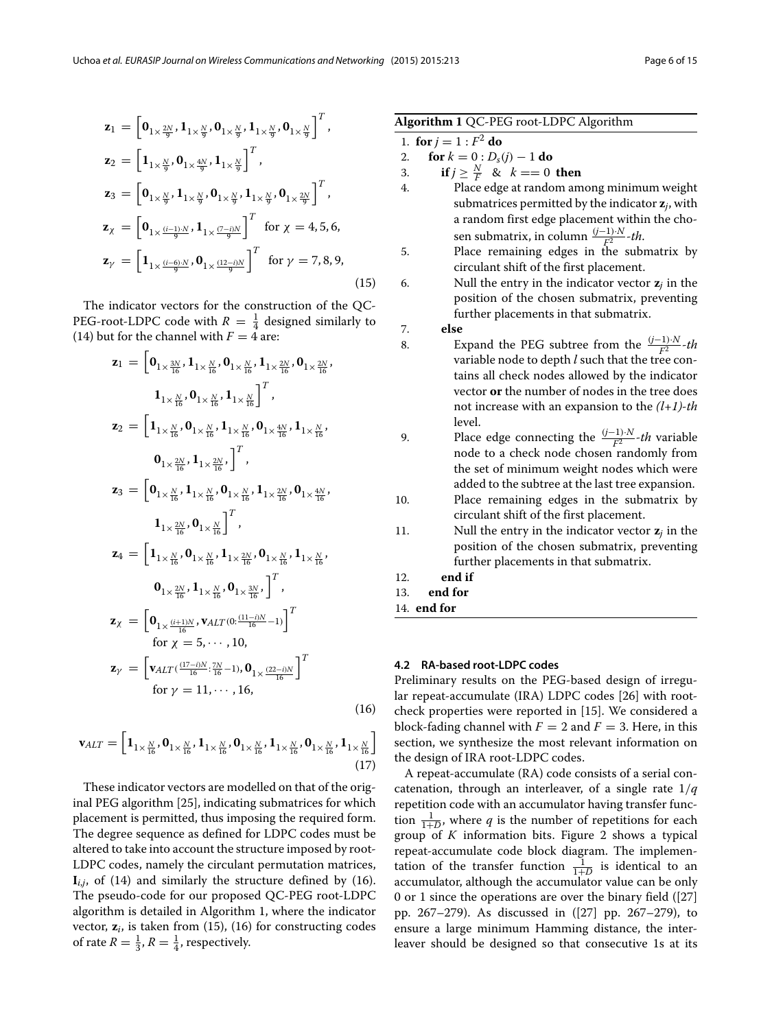<span id="page-5-2"></span>
$$
\mathbf{z}_{1} = \left[\mathbf{0}_{1\times\frac{2N}{9}}, \mathbf{1}_{1\times\frac{N}{9}}, \mathbf{0}_{1\times\frac{N}{9}}, \mathbf{1}_{1\times\frac{N}{9}}, \mathbf{0}_{1\times\frac{N}{9}}\right]^{T},
$$
\n
$$
\mathbf{z}_{2} = \left[\mathbf{1}_{1\times\frac{N}{9}}, \mathbf{0}_{1\times\frac{4N}{9}}, \mathbf{1}_{1\times\frac{N}{9}}\right]^{T},
$$
\n
$$
\mathbf{z}_{3} = \left[\mathbf{0}_{1\times\frac{N}{9}}, \mathbf{1}_{1\times\frac{N}{9}}, \mathbf{0}_{1\times\frac{N}{9}}, \mathbf{1}_{1\times\frac{N}{9}}, \mathbf{0}_{1\times\frac{2N}{9}}\right]^{T},
$$
\n
$$
\mathbf{z}_{\chi} = \left[\mathbf{0}_{1\times\frac{(i-1)\cdot N}{9}}, \mathbf{1}_{1\times\frac{(7-i)N}{9}}\right]^{T} \text{ for } \chi = 4, 5, 6,
$$
\n
$$
\mathbf{z}_{\gamma} = \left[\mathbf{1}_{1\times\frac{(i-6)\cdot N}{9}}, \mathbf{0}_{1\times\frac{(12-i)N}{9}}\right]^{T} \text{ for } \gamma = 7, 8, 9,
$$
\n(15)

The indicator vectors for the construction of the QC-PEG-root-LDPC code with  $R = \frac{1}{4}$  designed similarly to [\(14\)](#page-4-1) but for the channel with  $F = 4$  are:

<span id="page-5-0"></span>
$$
z_{1} = \left[ 0_{1 \times \frac{3N}{16}}, 1_{1 \times \frac{N}{16}}, 0_{1 \times \frac{N}{16}}, 1_{1 \times \frac{2N}{16}}, 0_{1 \times \frac{2N}{16}}, \right]
$$
\n
$$
1_{1 \times \frac{N}{16}}, 0_{1 \times \frac{N}{16}}, 1_{1 \times \frac{N}{16}} \right]^{T},
$$
\n
$$
z_{2} = \left[ 1_{1 \times \frac{N}{16}}, 0_{1 \times \frac{N}{16}}, 1_{1 \times \frac{N}{16}}, 0_{1 \times \frac{4N}{16}}, 1_{1 \times \frac{N}{16}}, \right]
$$
\n
$$
0_{1 \times \frac{2N}{16}}, 1_{1 \times \frac{2N}{16}}, 0_{1 \times \frac{N}{16}}, 1_{1 \times \frac{2N}{16}}, 0_{1 \times \frac{4N}{16}}, \frac{N}{16}, \frac{N}{16}, \frac{N}{16}, \frac{N}{16}, \frac{N}{16}, \frac{N}{16}, \frac{N}{16}, \frac{N}{16}, \frac{N}{16}, \frac{N}{16}, \frac{N}{16}, \frac{N}{16}, \frac{N}{16}, \frac{N}{16}, \frac{N}{16}, \frac{N}{16}, \frac{N}{16}, \frac{N}{16}, \frac{N}{16}, \frac{N}{16}, \frac{N}{16}, \frac{N}{16}, \frac{N}{16}, \frac{N}{16}, \frac{N}{16}, \frac{N}{16}, \frac{N}{16}, \frac{N}{16}, \frac{N}{16}, \frac{N}{16}, \frac{N}{16}, \frac{N}{16}, \frac{N}{16}, \frac{N}{16}, \frac{N}{16}, \frac{N}{16}, \frac{N}{16}, \frac{N}{16}, \frac{N}{16}, \frac{N}{16}, \frac{N}{16}, \frac{N}{16}, \frac{N}{16}, \frac{N}{16}, \frac{N}{16}, \frac{N}{16}, \frac{N}{16}, \frac{N}{16}, \frac{N}{16}, \frac{N}{16}, \frac{N}{16}, \frac{N}{16}, \frac{N}{16}, \frac{N}{16}, \frac{N}{16}, \frac{N}{
$$

$$
\mathbf{v}_{ALT} = \left[ \mathbf{1}_{1 \times \frac{N}{16}}, \mathbf{0}_{1 \times \frac{N}{16}}, \mathbf{1}_{1 \times \frac{N}{16}}, \mathbf{0}_{1 \times \frac{N}{16}}, \mathbf{1}_{1 \times \frac{N}{16}}, \mathbf{0}_{1 \times \frac{N}{16}}, \mathbf{1}_{1 \times \frac{N}{16}} \right]
$$
(17)

These indicator vectors are modelled on that of the original PEG algorithm [\[25\]](#page-14-14), indicating submatrices for which placement is permitted, thus imposing the required form. The degree sequence as defined for LDPC codes must be altered to take into account the structure imposed by root-LDPC codes, namely the circulant permutation matrices,  $\mathbf{I}_{i,j}$ , of [\(14\)](#page-4-1) and similarly the structure defined by [\(16\)](#page-5-0). The pseudo-code for our proposed QC-PEG root-LDPC algorithm is detailed in Algorithm [1,](#page-5-1) where the indicator vector, **z***i*, is taken from [\(15\)](#page-5-2), [\(16\)](#page-5-0) for constructing codes of rate  $R = \frac{1}{3}$ ,  $R = \frac{1}{4}$ , respectively.

<span id="page-5-1"></span>

|  | Algorithm 1 QC-PEG root-LDPC Algorithm |  |
|--|----------------------------------------|--|
|--|----------------------------------------|--|

1. **for**  $j = 1 : F^2$  **do**<br>2. **for**  $k = 0 : D_s$ 

2. **for**  $k = 0$  :  $D_s(j) - 1$  **do**<br>3. **if**  $j > \frac{N}{r}$  &  $k == 0$ 

- 3. **if**  $j \geq \frac{N}{F}$  &  $k == 0$  **then**
- 4. Place edge at random among minimum weight submatrices permitted by the indicator **z***j*, with a random first edge placement within the chosen submatrix, in column (*j*−1)·*<sup>N</sup> <sup>F</sup>*<sup>2</sup> *-th*.
- 5. Place remaining edges in the submatrix by circulant shift of the first placement.
- 6. Null the entry in the indicator vector  $z_i$  in the position of the chosen submatrix, preventing further placements in that submatrix.

### 7. **else**

- 8. Expand the PEG subtree from the  $\frac{(j-1)\cdot N}{F^2}$ *-th* variable node to depth *l* such that the tree contains all check nodes allowed by the indicator vector **or** the number of nodes in the tree does not increase with an expansion to the *(l+1)-th* level.
- 9. Place edge connecting the  $\frac{(j-1)\cdot N}{F^2}$ *-th* variable node to a check node chosen randomly from the set of minimum weight nodes which were added to the subtree at the last tree expansion. 10. Place remaining edges in the submatrix by
- circulant shift of the first placement. 11. Null the entry in the indicator vector  $z_i$  in the position of the chosen submatrix, preventing further placements in that submatrix.
- 12. **end if**
- 13. **end for**
- 14. **end for**

#### **4.2 RA-based root-LDPC codes**

Preliminary results on the PEG-based design of irregular repeat-accumulate (IRA) LDPC codes [\[26\]](#page-14-15) with rootcheck properties were reported in [\[15\]](#page-14-5). We considered a block-fading channel with  $F = 2$  and  $F = 3$ . Here, in this section, we synthesize the most relevant information on the design of IRA root-LDPC codes.

A repeat-accumulate (RA) code consists of a serial concatenation, through an interleaver, of a single rate 1/*q* repetition code with an accumulator having transfer function  $\frac{1}{1+D}$ , where *q* is the number of repetitions for each group of *K* information bits. Figure [2](#page-6-0) shows a typical repeat-accumulate code block diagram. The implementation of the transfer function  $\frac{1}{1+D}$  is identical to an accumulator, although the accumulator value can be only 0 or 1 since the operations are over the binary field ([\[27\]](#page-14-16) pp. 267–279). As discussed in ([\[27\]](#page-14-16) pp. 267–279), to ensure a large minimum Hamming distance, the interleaver should be designed so that consecutive 1s at its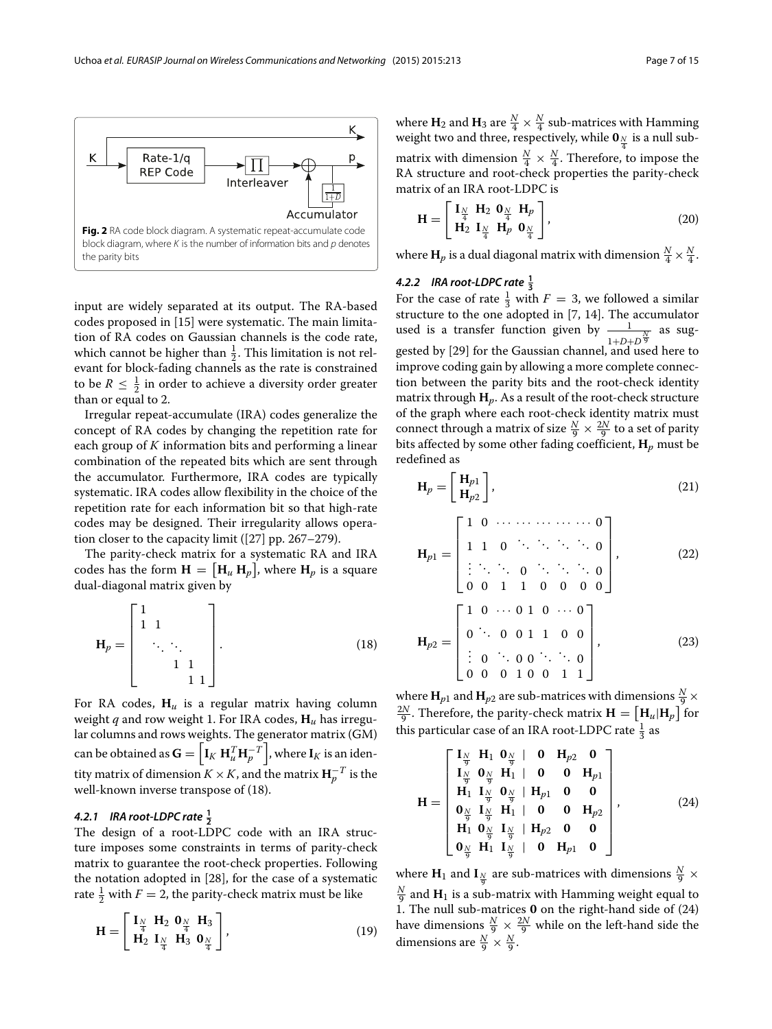<span id="page-6-3"></span>



<span id="page-6-0"></span>input are widely separated at its output. The RA-based codes proposed in [\[15\]](#page-14-5) were systematic. The main limitation of RA codes on Gaussian channels is the code rate, which cannot be higher than  $\frac{1}{2}$ . This limitation is not relevant for block-fading channels as the rate is constrained to be  $R \leq \frac{1}{2}$  in order to achieve a diversity order greater than or equal to 2.

Irregular repeat-accumulate (IRA) codes generalize the concept of RA codes by changing the repetition rate for each group of *K* information bits and performing a linear combination of the repeated bits which are sent through the accumulator. Furthermore, IRA codes are typically systematic. IRA codes allow flexibility in the choice of the repetition rate for each information bit so that high-rate codes may be designed. Their irregularity allows operation closer to the capacity limit ([\[27\]](#page-14-16) pp. 267–279).

The parity-check matrix for a systematic RA and IRA codes has the form  $\mathbf{H} = [\mathbf{H}_{\mu} \, \mathbf{H}_{p}],$  where  $\mathbf{H}_{p}$  is a square dual-diagonal matrix given by

<span id="page-6-1"></span>
$$
\mathbf{H}_p = \begin{bmatrix} 1 & & & \\ 1 & 1 & & \\ & \ddots & \ddots & \\ & & 1 & 1 \\ & & & 1 & 1 \end{bmatrix} . \tag{18}
$$

For RA codes,  $H_u$  is a regular matrix having column weight *q* and row weight 1. For IRA codes, **H***<sup>u</sup>* has irregular columns and rows weights. The generator matrix (GM)  $\mathbf{c}$  an be obtained as  $\mathbf{G} = \left[ \mathbf{I}_K \ \mathbf{H}_{u}^T \mathbf{H}_{p}^{-T} \right]$ , where  $\mathbf{I}_K$  is an identity matrix of dimension  $K \times K$ , and the matrix  $\mathbf{H}_p^{-T}$  is the well-known inverse transpose of [\(18\)](#page-6-1).

# *4.2.1 IRA root-LDPC rate* **<sup>1</sup> 2**

The design of a root-LDPC code with an IRA structure imposes some constraints in terms of parity-check matrix to guarantee the root-check properties. Following the notation adopted in [\[28\]](#page-14-17), for the case of a systematic rate  $\frac{1}{2}$  with  $F = 2$ , the parity-check matrix must be like

$$
\mathbf{H} = \begin{bmatrix} \mathbf{I}_{\frac{N}{4}} & \mathbf{H}_{2} & \mathbf{0}_{\frac{N}{4}} & \mathbf{H}_{3} \\ \mathbf{H}_{2} & \mathbf{I}_{\frac{N}{4}} & \mathbf{H}_{3} & \mathbf{0}_{\frac{N}{4}} \end{bmatrix},
$$
(19)

where  $\mathbf{H}_2$  and  $\mathbf{H}_3$  are  $\frac{N}{4} \times \frac{N}{4}$  sub-matrices with Hamming weight two and three, respectively, while  $\mathbf{0}_{\frac{N}{4}}$  is a null submatrix with dimension  $\frac{N}{4} \times \frac{N}{4}$ . Therefore, to impose the RA structure and root-check properties the parity-check matrix of an IRA root-LDPC is

$$
\mathbf{H} = \begin{bmatrix} \mathbf{I}_{\frac{N}{4}} & \mathbf{H}_2 & \mathbf{0}_{\frac{N}{4}} & \mathbf{H}_p \\ \mathbf{H}_2 & \mathbf{I}_{\frac{N}{4}} & \mathbf{H}_p & \mathbf{0}_{\frac{N}{4}} \end{bmatrix},
$$
(20)

where  $\mathbf{H}_p$  is a dual diagonal matrix with dimension  $\frac{N}{4} \times \frac{N}{4}$ .

# *4.2.2 IRA root-LDPC rate* **<sup>1</sup> 3**

For the case of rate  $\frac{1}{3}$  with  $F = 3$ , we followed a similar structure to the one adopted in [\[7,](#page-13-6) [14\]](#page-14-4). The accumulator used is a transfer function given by  $\frac{1}{1+D+D}$  as suggested by [\[29\]](#page-14-18) for the Gaussian channel, and used here to improve coding gain by allowing a more complete connection between the parity bits and the root-check identity matrix through **H***p*. As a result of the root-check structure of the graph where each root-check identity matrix must connect through a matrix of size  $\frac{N}{9} \times \frac{2N}{9}$  to a set of parity bits affected by some other fading coefficient,  $H_p$  must be redefined as

$$
\mathbf{H}_p = \begin{bmatrix} \mathbf{H}_{p1} \\ \mathbf{H}_{p2} \end{bmatrix},\tag{21}
$$

$$
\mathbf{H}_{p1} = \begin{bmatrix} 1 & 0 & \cdots & \cdots & \cdots & \cdots & 0 \\ 1 & 1 & 0 & \ddots & \ddots & \ddots & 0 \\ \vdots & \ddots & \ddots & 0 & \ddots & \ddots & \ddots & 0 \\ \vdots & \ddots & \ddots & 0 & \ddots & \ddots & 0 \end{bmatrix}, \tag{22}
$$

$$
\mathbf{H}_{p2} = \begin{bmatrix} 1 & 0 & \cdots & 0 & 1 & 0 & 0 & 0 \\ 0 & \ddots & 0 & 0 & 1 & 1 & 0 & 0 \\ \vdots & 0 & \ddots & 0 & 0 & \ddots & \ddots & 0 \\ 0 & 0 & 0 & 1 & 0 & 0 & 1 & 1 \end{bmatrix},
$$
(23)

where  $\mathbf{H}_{p1}$  and  $\mathbf{H}_{p2}$  are sub-matrices with dimensions  $\frac{N}{9} \times 2N$  Therefore, the parity-check matrix  $\mathbf{H} = [\mathbf{H} \mathbf{H}]$  for  $\frac{N}{9}$ . Therefore, the parity-check matrix  $\mathbf{H} = \left[ \mathbf{H}_u | \mathbf{H}_p \right]$  for this particular case of an IRA root-LDPC rate  $\frac{1}{3}$  as

<span id="page-6-2"></span>
$$
\mathbf{H} = \begin{bmatrix} \mathbf{I}_{\frac{N}{9}} & \mathbf{H}_{1} & \mathbf{0}_{\frac{N}{9}} & | & \mathbf{0} & \mathbf{H}_{p2} & \mathbf{0} \\ \mathbf{I}_{\frac{N}{9}} & \mathbf{0}_{\frac{N}{9}} & \mathbf{H}_{1} & | & \mathbf{0} & \mathbf{0} & \mathbf{H}_{p1} \\ \mathbf{H}_{1} & \mathbf{I}_{\frac{N}{9}} & \mathbf{0}_{\frac{N}{9}} & | & \mathbf{H}_{p1} & \mathbf{0} & \mathbf{0} \\ \mathbf{0}_{\frac{N}{9}} & \mathbf{I}_{\frac{N}{9}} & \mathbf{H}_{1} & | & \mathbf{0} & \mathbf{0} & \mathbf{H}_{p2} \\ \mathbf{H}_{1} & \mathbf{0}_{\frac{N}{9}} & \mathbf{I}_{\frac{N}{9}} & | & \mathbf{H}_{p2} & \mathbf{0} & \mathbf{0} \\ \mathbf{0}_{\frac{N}{9}} & \mathbf{H}_{1} & \mathbf{I}_{\frac{N}{9}} & | & \mathbf{0} & \mathbf{H}_{p1} & \mathbf{0} \end{bmatrix},
$$
(24)

where **H**<sub>1</sub> and **I**<sub> $\frac{N}{9}$  are sub-matrices with dimensions  $\frac{N}{9}$   $\times$ </sub>  $\frac{N}{9}$  and  $\mathbf{H}_{1}$  is a sub-matrix with Hamming weight equal to 1. The null sub-matrices **0** on the right-hand side of [\(24\)](#page-6-2) have dimensions  $\frac{N}{9} \times \frac{2N}{9}$  while on the left-hand side the dimensions are  $\frac{N}{9} \times \frac{N}{9}$ .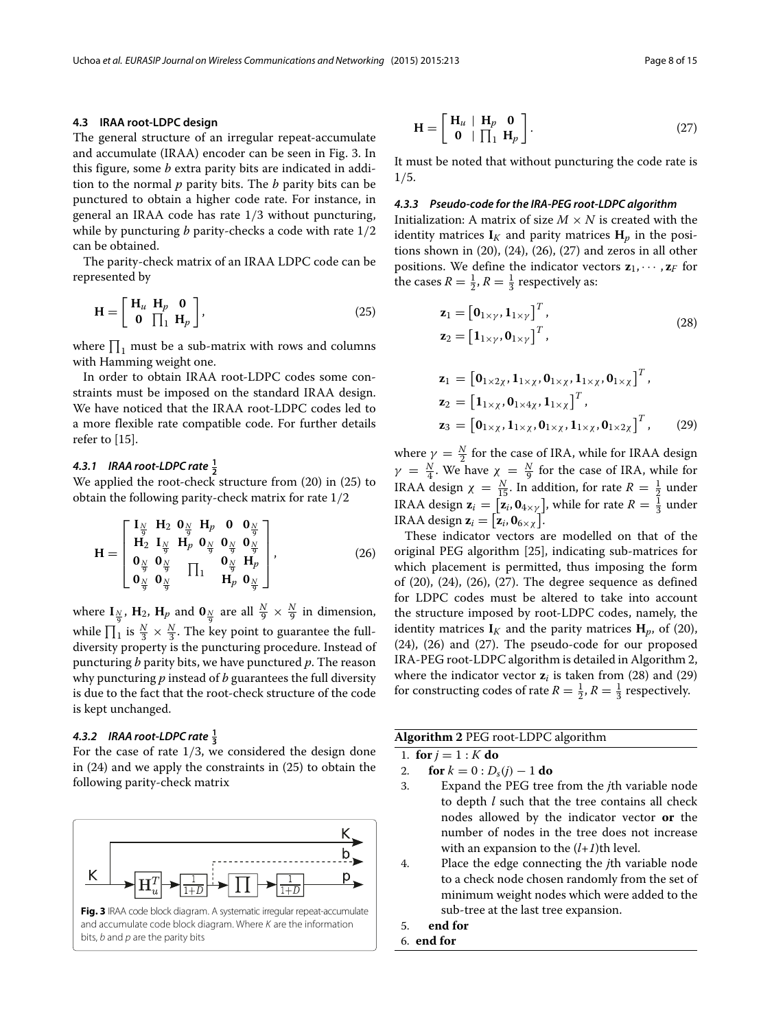#### **4.3 IRAA root-LDPC design**

The general structure of an irregular repeat-accumulate and accumulate (IRAA) encoder can be seen in Fig. [3.](#page-7-0) In this figure, some *b* extra parity bits are indicated in addition to the normal *p* parity bits. The *b* parity bits can be punctured to obtain a higher code rate. For instance, in general an IRAA code has rate 1/3 without puncturing, while by puncturing *b* parity-checks a code with rate 1/2 can be obtained.

The parity-check matrix of an IRAA LDPC code can be represented by

<span id="page-7-1"></span>
$$
\mathbf{H} = \begin{bmatrix} \mathbf{H}_{u} & \mathbf{H}_{p} & \mathbf{0} \\ \mathbf{0} & \prod_{1} \mathbf{H}_{p} \end{bmatrix},
$$
 (25)

where  $\prod_1$  must be a sub-matrix with rows and columns with Hamming weight one.

In order to obtain IRAA root-LDPC codes some constraints must be imposed on the standard IRAA design. We have noticed that the IRAA root-LDPC codes led to a more flexible rate compatible code. For further details refer to [\[15\]](#page-14-5).

# *4.3.1 IRAA root-LDPC rate* **<sup>1</sup> 2**

We applied the root-check structure from [\(20\)](#page-6-3) in [\(25\)](#page-7-1) to obtain the following parity-check matrix for rate 1/2

$$
\mathbf{H} = \begin{bmatrix} \mathbf{I}_{\frac{N}{9}} & \mathbf{H}_{2} & \mathbf{0}_{\frac{N}{9}} & \mathbf{H}_{p} & \mathbf{0} & \mathbf{0}_{\frac{N}{9}} \\ \mathbf{H}_{2} & \mathbf{I}_{\frac{N}{9}} & \mathbf{H}_{p} & \mathbf{0}_{\frac{N}{9}} & \mathbf{0}_{\frac{N}{9}} & \mathbf{0}_{\frac{N}{9}} \\ \mathbf{0}_{\frac{N}{9}} & \mathbf{0}_{\frac{N}{9}} & \prod_{1} & \mathbf{0}_{\frac{N}{9}} & \mathbf{H}_{p} \\ \mathbf{0}_{\frac{N}{9}} & \mathbf{0}_{\frac{N}{9}} & \prod_{1} & \mathbf{H}_{p} & \mathbf{0}_{\frac{N}{9}} \end{bmatrix},
$$
(26)

where  $\mathbf{I}_{\frac{N}{9}}$ ,  $\mathbf{H}_{2}$ ,  $\mathbf{H}_{p}$  and  $\mathbf{0}_{\frac{N}{9}}$  are all  $\frac{N}{9} \times \frac{N}{9}$  in dimension, while  $\prod_1$  is  $\frac{N}{3} \times \frac{N}{3}$ . The key point to guarantee the fulldiversity property is the puncturing procedure. Instead of puncturing *b* parity bits, we have punctured *p*. The reason why puncturing *p* instead of *b* guarantees the full diversity is due to the fact that the root-check structure of the code is kept unchanged.

# *4.3.2 IRAA root-LDPC rate* **<sup>1</sup> 3**

<span id="page-7-3"></span>For the case of rate 1/3, we considered the design done in [\(24\)](#page-6-2) and we apply the constraints in [\(25\)](#page-7-1) to obtain the following parity-check matrix

<span id="page-7-0"></span>![](_page_7_Figure_14.jpeg)

$$
\mathbf{H} = \begin{bmatrix} \mathbf{H}_{\mu} & \mathbf{H}_{p} & \mathbf{0} \\ \mathbf{0} & |\mathbf{\Pi}_{1} & \mathbf{H}_{p} \end{bmatrix} . \tag{27}
$$

It must be noted that without puncturing the code rate is 1/5.

#### *4.3.3 Pseudo-code for the IRA-PEG root-LDPC algorithm*

Initialization: A matrix of size  $M \times N$  is created with the identity matrices  $\mathbf{I}_K$  and parity matrices  $\mathbf{H}_p$  in the positions shown in [\(20\)](#page-6-3), [\(24\)](#page-6-2), [\(26\)](#page-7-2), [\(27\)](#page-7-3) and zeros in all other positions. We define the indicator vectors  $z_1, \dots, z_F$  for the cases  $R = \frac{1}{2}$ ,  $R = \frac{1}{3}$  respectively as:

<span id="page-7-5"></span>
$$
\mathbf{z}_{1} = \begin{bmatrix} \mathbf{0}_{1 \times \gamma}, \mathbf{1}_{1 \times \gamma} \end{bmatrix}^{T},
$$
  

$$
\mathbf{z}_{2} = \begin{bmatrix} \mathbf{1}_{1 \times \gamma}, \mathbf{0}_{1 \times \gamma} \end{bmatrix}^{T},
$$
 (28)

<span id="page-7-6"></span>
$$
\mathbf{z}_1 = \begin{bmatrix} \mathbf{0}_{1 \times 2\chi}, \mathbf{1}_{1 \times \chi}, \mathbf{0}_{1 \times \chi}, \mathbf{1}_{1 \times \chi}, \mathbf{0}_{1 \times \chi} \end{bmatrix}^T,
$$
  
\n
$$
\mathbf{z}_2 = \begin{bmatrix} \mathbf{1}_{1 \times \chi}, \mathbf{0}_{1 \times 4\chi}, \mathbf{1}_{1 \times \chi} \end{bmatrix}^T,
$$
  
\n
$$
\mathbf{z}_3 = \begin{bmatrix} \mathbf{0}_{1 \times \chi}, \mathbf{1}_{1 \times \chi}, \mathbf{0}_{1 \times \chi}, \mathbf{1}_{1 \times \chi}, \mathbf{0}_{1 \times 2\chi} \end{bmatrix}^T,
$$
 (29)

where  $\gamma = \frac{N}{2}$  for the case of IRA, while for IRAA design  $\gamma = \frac{N}{4}$ . We have  $\chi = \frac{N}{9}$  for the case of IRA, while for IRAA design  $\chi = \frac{N}{15}$ . In addition, for rate  $R = \frac{1}{2}$  under IRAA design  $\mathbf{z}_i = [\mathbf{z}_i, \mathbf{0}_{4 \times \gamma}]$ , while for rate  $R = \frac{1}{3}$  under IRAA design  $\mathbf{z}_i = [\mathbf{z}_i, \mathbf{0}_{6 \times \chi}]$ .

<span id="page-7-2"></span>These indicator vectors are modelled on that of the original PEG algorithm [\[25\]](#page-14-14), indicating sub-matrices for which placement is permitted, thus imposing the form of [\(20\)](#page-6-3), [\(24\)](#page-6-2), [\(26\)](#page-7-2), [\(27\)](#page-7-3). The degree sequence as defined for LDPC codes must be altered to take into account the structure imposed by root-LDPC codes, namely, the identity matrices  $\mathbf{I}_K$  and the parity matrices  $\mathbf{H}_p$ , of [\(20\)](#page-6-3), [\(24\)](#page-6-2), [\(26\)](#page-7-2) and [\(27\)](#page-7-3). The pseudo-code for our proposed IRA-PEG root-LDPC algorithm is detailed in Algorithm [2,](#page-7-4) where the indicator vector  $z_i$  is taken from [\(28\)](#page-7-5) and [\(29\)](#page-7-6) for constructing codes of rate  $R = \frac{1}{2}$ ,  $R = \frac{1}{3}$  respectively.

### <span id="page-7-4"></span>**Algorithm 2** PEG root-LDPC algorithm

1. **for**  $j = 1 : K$  **do**<br>2. **for**  $k = 0 : D_0$ 

- 2. **for**  $k = 0$  :  $D_s(j) 1$  **do**<br>3. Expand the PEG tree
- 3. Expand the PEG tree from the *j*th variable node to depth *l* such that the tree contains all check nodes allowed by the indicator vector **or** the number of nodes in the tree does not increase with an expansion to the (*l+1*)th level.
- 4. Place the edge connecting the *j*th variable node to a check node chosen randomly from the set of minimum weight nodes which were added to the sub-tree at the last tree expansion.
- 5. **end for**
- 6. **end for**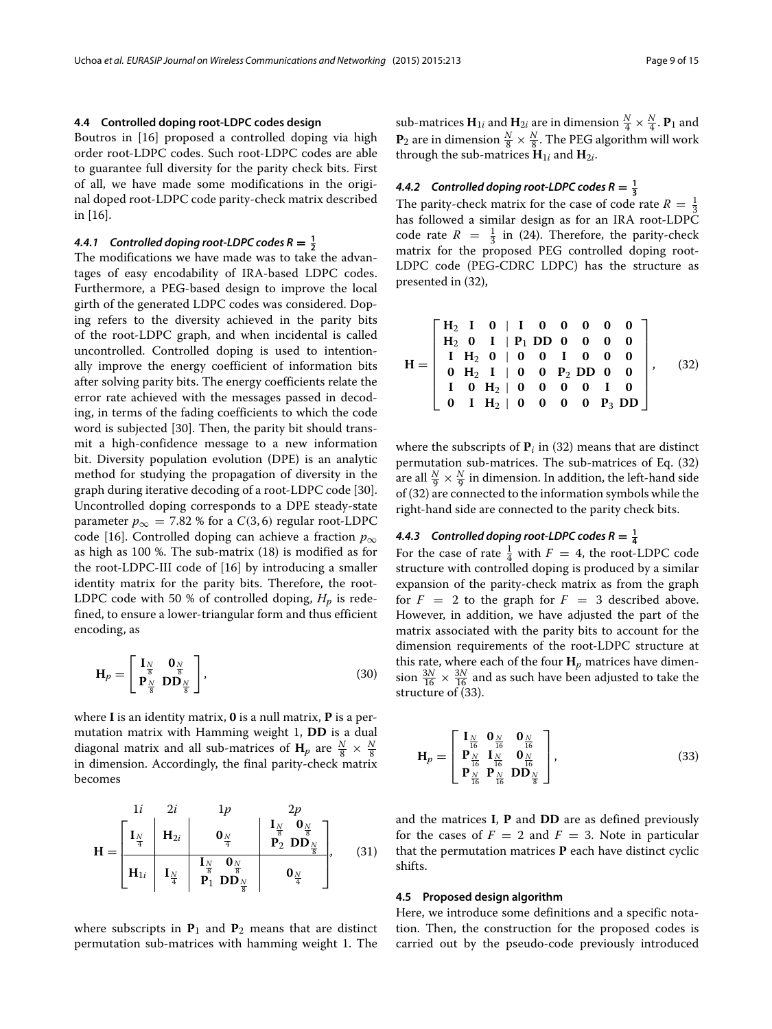#### **4.4 Controlled doping root-LDPC codes design**

Boutros in [\[16\]](#page-14-6) proposed a controlled doping via high order root-LDPC codes. Such root-LDPC codes are able to guarantee full diversity for the parity check bits. First of all, we have made some modifications in the original doped root-LDPC code parity-check matrix described in [\[16\]](#page-14-6).

# 4.4.1 Controlled doping root-LDPC codes  $R = \frac{1}{2}$

The modifications we have made was to take the advantages of easy encodability of IRA-based LDPC codes. Furthermore, a PEG-based design to improve the local girth of the generated LDPC codes was considered. Doping refers to the diversity achieved in the parity bits of the root-LDPC graph, and when incidental is called uncontrolled. Controlled doping is used to intentionally improve the energy coefficient of information bits after solving parity bits. The energy coefficients relate the error rate achieved with the messages passed in decoding, in terms of the fading coefficients to which the code word is subjected [\[30\]](#page-14-19). Then, the parity bit should transmit a high-confidence message to a new information bit. Diversity population evolution (DPE) is an analytic method for studying the propagation of diversity in the graph during iterative decoding of a root-LDPC code [\[30\]](#page-14-19). Uncontrolled doping corresponds to a DPE steady-state parameter  $p_{\infty} = 7.82$  % for a *C*(3,6) regular root-LDPC code [\[16\]](#page-14-6). Controlled doping can achieve a fraction *p*<sup>∞</sup> as high as 100 %. The sub-matrix [\(18\)](#page-6-1) is modified as for the root-LDPC-III code of [\[16\]](#page-14-6) by introducing a smaller identity matrix for the parity bits. Therefore, the root-LDPC code with 50 % of controlled doping,  $H_p$  is redefined, to ensure a lower-triangular form and thus efficient encoding, as

$$
\mathbf{H}_p = \begin{bmatrix} \mathbf{I}_N & \mathbf{0}_N \\ \mathbf{P}_N & \mathbf{D} \mathbf{D}_N \\ \mathbf{P}_N & \mathbf{D} \mathbf{D}_N \end{bmatrix},\tag{30}
$$

where **I** is an identity matrix, **0** is a null matrix, **P** is a permutation matrix with Hamming weight 1, **DD** is a dual diagonal matrix and all sub-matrices of  $H_p$  are  $\frac{N}{8} \times \frac{N}{8}$ in dimension. Accordingly, the final parity-check matrix becomes

<span id="page-8-2"></span>
$$
\mathbf{H} = \begin{bmatrix} 1i & 2i & 1p & 2p \\ \mathbf{I}_{\frac{N}{4}} & \mathbf{H}_{2i} & \mathbf{0}_{\frac{N}{4}} & \begin{array}{c} 2p \\ \mathbf{I}_{\frac{N}{8}} & \mathbf{0}_{\frac{N}{8}} \\ \mathbf{P}_{2} & \mathbf{D}\mathbf{D}_{\frac{N}{8}} \\ \mathbf{H}_{1i} & \mathbf{I}_{\frac{N}{4}} & \begin{array}{c} \mathbf{I}_{\frac{N}{8}} & \mathbf{0}_{\frac{N}{8}} \\ \mathbf{P}_{1} & \mathbf{D}\mathbf{D}_{\frac{N}{8}} & \mathbf{0}_{\frac{N}{4}} \end{array} \end{bmatrix}, \qquad (31)
$$

where subscripts in  $P_1$  and  $P_2$  means that are distinct permutation sub-matrices with hamming weight 1. The

sub-matrices  $\mathbf{H}_{1i}$  and  $\mathbf{H}_{2i}$  are in dimension  $\frac{N}{4} \times \frac{N}{4}$  .  $\mathbf{P}_{1}$  and  ${\bf P}_2$  are in dimension  $\frac{N}{8} \times \frac{N}{8}$ . The PEG algorithm will work through the sub-matrices  $H_{1i}$  and  $H_{2i}$ .

# 4.4.2 Controlled doping root-LDPC codes  $R = \frac{1}{3}$

The parity-check matrix for the case of code rate  $R = \frac{1}{3}$ has followed a similar design as for an IRA root-LDPC code rate  $R = \frac{1}{3}$  in [\(24\)](#page-6-2). Therefore, the parity-check matrix for the proposed PEG controlled doping root-LDPC code (PEG-CDRC LDPC) has the structure as presented in [\(32\)](#page-8-0),

<span id="page-8-0"></span>
$$
H = \begin{bmatrix} H_2 & I & 0 & | & I & 0 & 0 & 0 & 0 & 0 \\ H_2 & 0 & I & | & P_1 & DD & 0 & 0 & 0 & 0 \\ I & H_2 & 0 & | & 0 & 0 & I & 0 & 0 & 0 \\ 0 & H_2 & I & | & 0 & 0 & P_2 & DD & 0 & 0 \\ I & 0 & H_2 & | & 0 & 0 & 0 & 0 & I & 0 \\ 0 & I & H_2 & | & 0 & 0 & 0 & 0 & P_3 & DD \end{bmatrix},
$$
(32)

where the subscripts of **P***<sup>i</sup>* in [\(32\)](#page-8-0) means that are distinct permutation sub-matrices. The sub-matrices of Eq. [\(32\)](#page-8-0) are all  $\frac{N}{9} \times \frac{N}{9}$  in dimension. In addition, the left-hand side of [\(32\)](#page-8-0) are connected to the information symbols while the right-hand side are connected to the parity check bits.

# 4.4.3 Controlled doping root-LDPC codes  $R = \frac{1}{4}$

For the case of rate  $\frac{1}{4}$  with  $F = 4$ , the root-LDPC code structure with controlled doping is produced by a similar expansion of the parity-check matrix as from the graph for  $F = 2$  to the graph for  $F = 3$  described above. However, in addition, we have adjusted the part of the matrix associated with the parity bits to account for the dimension requirements of the root-LDPC structure at this rate, where each of the four  $H_p$  matrices have dimension  $\frac{3N}{16} \times \frac{3N}{16}$  and as such have been adjusted to take the structure of [\(33\)](#page-8-1).

<span id="page-8-1"></span>
$$
\mathbf{H}_{p} = \begin{bmatrix} \mathbf{I}_{\frac{N}{16}} & \mathbf{0}_{\frac{N}{16}} & \mathbf{0}_{\frac{N}{16}} \\ \mathbf{P}_{\frac{N}{16}} & \mathbf{I}_{\frac{N}{16}} & \mathbf{0}_{\frac{N}{16}} \\ \mathbf{P}_{\frac{N}{16}} & \mathbf{P}_{\frac{N}{16}} & \mathbf{D} \mathbf{D}_{\frac{N}{8}} \end{bmatrix},
$$
(33)

and the matrices **I**, **P** and **DD** are as defined previously for the cases of  $F = 2$  and  $F = 3$ . Note in particular that the permutation matrices **P** each have distinct cyclic shifts.

#### **4.5 Proposed design algorithm**

Here, we introduce some definitions and a specific notation. Then, the construction for the proposed codes is carried out by the pseudo-code previously introduced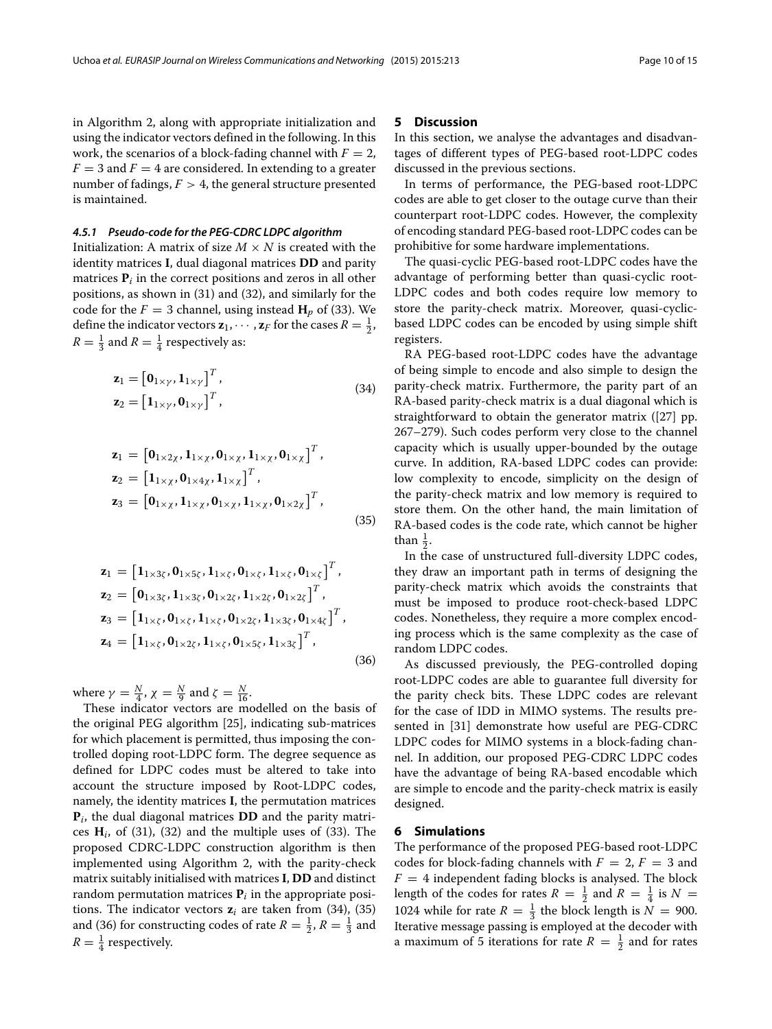in Algorithm [2,](#page-7-4) along with appropriate initialization and using the indicator vectors defined in the following. In this work, the scenarios of a block-fading channel with  $F = 2$ ,  $F = 3$  and  $F = 4$  are considered. In extending to a greater number of fadings,  $F > 4$ , the general structure presented is maintained.

#### *4.5.1 Pseudo-code for the PEG-CDRC LDPC algorithm*

Initialization: A matrix of size  $M \times N$  is created with the identity matrices **I**, dual diagonal matrices **DD** and parity matrices  $P_i$  in the correct positions and zeros in all other positions, as shown in [\(31\)](#page-8-2) and [\(32\)](#page-8-0), and similarly for the code for the  $F = 3$  channel, using instead  $H_p$  of [\(33\)](#page-8-1). We define the indicator vectors  $\mathbf{z}_1, \cdots, \mathbf{z}_F$  for the cases  $R = \frac{1}{2}$ ,  $R = \frac{1}{3}$  and  $R = \frac{1}{4}$  respectively as:

<span id="page-9-2"></span>
$$
\mathbf{z}_1 = \begin{bmatrix} \mathbf{0}_{1 \times \gamma}, \mathbf{1}_{1 \times \gamma} \end{bmatrix}^T, \n\mathbf{z}_2 = \begin{bmatrix} \mathbf{1}_{1 \times \gamma}, \mathbf{0}_{1 \times \gamma} \end{bmatrix}^T,
$$
\n(34)

<span id="page-9-3"></span>
$$
\mathbf{z}_{1} = [\mathbf{0}_{1 \times 2\chi}, \mathbf{1}_{1 \times \chi}, \mathbf{0}_{1 \times \chi}, \mathbf{1}_{1 \times \chi}, \mathbf{0}_{1 \times \chi}]^{T},
$$
  
\n
$$
\mathbf{z}_{2} = [\mathbf{1}_{1 \times \chi}, \mathbf{0}_{1 \times 4\chi}, \mathbf{1}_{1 \times \chi}]^{T},
$$
  
\n
$$
\mathbf{z}_{3} = [\mathbf{0}_{1 \times \chi}, \mathbf{1}_{1 \times \chi}, \mathbf{0}_{1 \times \chi}, \mathbf{1}_{1 \times \chi}, \mathbf{0}_{1 \times 2\chi}]^{T},
$$
\n(35)

<span id="page-9-4"></span>
$$
\mathbf{z}_{1} = [1_{1\times3\zeta}, 0_{1\times5\zeta}, 1_{1\times\zeta}, 0_{1\times\zeta}, 1_{1\times\zeta}, 0_{1\times\zeta}]^{T},
$$
\n
$$
\mathbf{z}_{2} = [0_{1\times3\zeta}, 1_{1\times3\zeta}, 0_{1\times2\zeta}, 1_{1\times2\zeta}, 0_{1\times2\zeta}]^{T},
$$
\n
$$
\mathbf{z}_{3} = [1_{1\times\zeta}, 0_{1\times\zeta}, 1_{1\times\zeta}, 0_{1\times2\zeta}, 1_{1\times3\zeta}, 0_{1\times4\zeta}]^{T},
$$
\n
$$
\mathbf{z}_{4} = [1_{1\times\zeta}, 0_{1\times2\zeta}, 1_{1\times\zeta}, 0_{1\times5\zeta}, 1_{1\times3\zeta}]^{T},
$$
\n(36)

where  $\gamma = \frac{N}{4}$ ,  $\chi = \frac{N}{9}$  and  $\zeta = \frac{N}{16}$ .

These indicator vectors are modelled on the basis of the original PEG algorithm [\[25\]](#page-14-14), indicating sub-matrices for which placement is permitted, thus imposing the controlled doping root-LDPC form. The degree sequence as defined for LDPC codes must be altered to take into account the structure imposed by Root-LDPC codes, namely, the identity matrices **I**, the permutation matrices **P***i*, the dual diagonal matrices **DD** and the parity matrices  $H_i$ , of [\(31\)](#page-8-2), [\(32\)](#page-8-0) and the multiple uses of [\(33\)](#page-8-1). The proposed CDRC-LDPC construction algorithm is then implemented using Algorithm [2,](#page-7-4) with the parity-check matrix suitably initialised with matrices **I**, **DD** and distinct random permutation matrices  $P_i$  in the appropriate positions. The indicator vectors  $z_i$  are taken from [\(34\)](#page-9-2), [\(35\)](#page-9-3) and [\(36\)](#page-9-4) for constructing codes of rate  $R = \frac{1}{2}$ ,  $R = \frac{1}{3}$  and  $R = \frac{1}{4}$  respectively.

#### <span id="page-9-0"></span>**5 Discussion**

In this section, we analyse the advantages and disadvantages of different types of PEG-based root-LDPC codes discussed in the previous sections.

In terms of performance, the PEG-based root-LDPC codes are able to get closer to the outage curve than their counterpart root-LDPC codes. However, the complexity of encoding standard PEG-based root-LDPC codes can be prohibitive for some hardware implementations.

The quasi-cyclic PEG-based root-LDPC codes have the advantage of performing better than quasi-cyclic root-LDPC codes and both codes require low memory to store the parity-check matrix. Moreover, quasi-cyclicbased LDPC codes can be encoded by using simple shift registers.

RA PEG-based root-LDPC codes have the advantage of being simple to encode and also simple to design the parity-check matrix. Furthermore, the parity part of an RA-based parity-check matrix is a dual diagonal which is straightforward to obtain the generator matrix ([\[27\]](#page-14-16) pp. 267–279). Such codes perform very close to the channel capacity which is usually upper-bounded by the outage curve. In addition, RA-based LDPC codes can provide: low complexity to encode, simplicity on the design of the parity-check matrix and low memory is required to store them. On the other hand, the main limitation of RA-based codes is the code rate, which cannot be higher than  $\frac{1}{2}$ .

In the case of unstructured full-diversity LDPC codes, they draw an important path in terms of designing the parity-check matrix which avoids the constraints that must be imposed to produce root-check-based LDPC codes. Nonetheless, they require a more complex encoding process which is the same complexity as the case of random LDPC codes.

As discussed previously, the PEG-controlled doping root-LDPC codes are able to guarantee full diversity for the parity check bits. These LDPC codes are relevant for the case of IDD in MIMO systems. The results presented in [\[31\]](#page-14-20) demonstrate how useful are PEG-CDRC LDPC codes for MIMO systems in a block-fading channel. In addition, our proposed PEG-CDRC LDPC codes have the advantage of being RA-based encodable which are simple to encode and the parity-check matrix is easily designed.

#### <span id="page-9-1"></span>**6 Simulations**

The performance of the proposed PEG-based root-LDPC codes for block-fading channels with  $F = 2$ ,  $F = 3$  and  $F = 4$  independent fading blocks is analysed. The block length of the codes for rates  $R = \frac{1}{2}$  and  $R = \frac{1}{4}$  is  $N = \frac{1}{2}$ 1024 while for rate  $R = \frac{1}{3}$  the block length is  $N = 900$ . Iterative message passing is employed at the decoder with a maximum of 5 iterations for rate  $R = \frac{1}{2}$  and for rates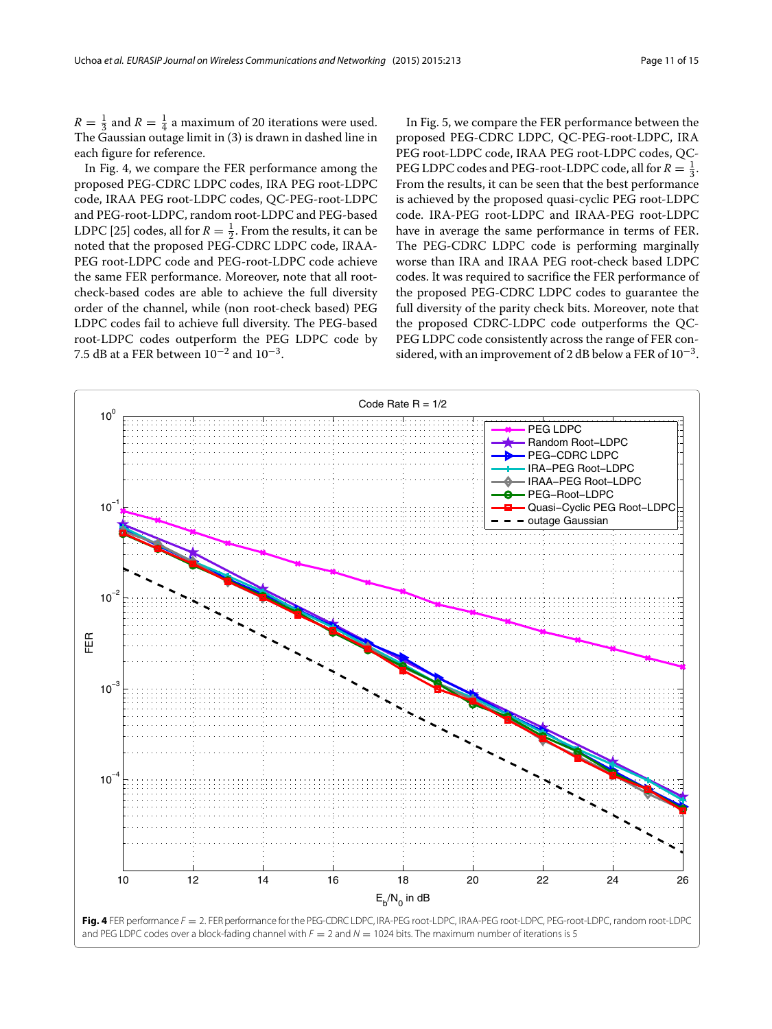$R = \frac{1}{3}$  and  $R = \frac{1}{4}$  a maximum of 20 iterations were used. The Gaussian outage limit in [\(3\)](#page-1-3) is drawn in dashed line in each figure for reference.

In Fig. [4,](#page-10-0) we compare the FER performance among the proposed PEG-CDRC LDPC codes, IRA PEG root-LDPC code, IRAA PEG root-LDPC codes, QC-PEG-root-LDPC and PEG-root-LDPC, random root-LDPC and PEG-based LDPC [\[25\]](#page-14-14) codes, all for  $R = \frac{1}{2}$ . From the results, it can be noted that the proposed PEG-CDRC LDPC code, IRAA-PEG root-LDPC code and PEG-root-LDPC code achieve the same FER performance. Moreover, note that all rootcheck-based codes are able to achieve the full diversity order of the channel, while (non root-check based) PEG LDPC codes fail to achieve full diversity. The PEG-based root-LDPC codes outperform the PEG LDPC code by 7.5 dB at a FER between  $10^{-2}$  and  $10^{-3}$ .

In Fig. [5,](#page-11-0) we compare the FER performance between the proposed PEG-CDRC LDPC, QC-PEG-root-LDPC, IRA PEG root-LDPC code, IRAA PEG root-LDPC codes, QC-PEG LDPC codes and PEG-root-LDPC code, all for  $R = \frac{1}{3}$ . From the results, it can be seen that the best performance is achieved by the proposed quasi-cyclic PEG root-LDPC code. IRA-PEG root-LDPC and IRAA-PEG root-LDPC have in average the same performance in terms of FER. The PEG-CDRC LDPC code is performing marginally worse than IRA and IRAA PEG root-check based LDPC codes. It was required to sacrifice the FER performance of the proposed PEG-CDRC LDPC codes to guarantee the full diversity of the parity check bits. Moreover, note that the proposed CDRC-LDPC code outperforms the QC-PEG LDPC code consistently across the range of FER considered, with an improvement of 2 dB below a FER of  $10^{-3}$ .

<span id="page-10-0"></span>![](_page_10_Figure_5.jpeg)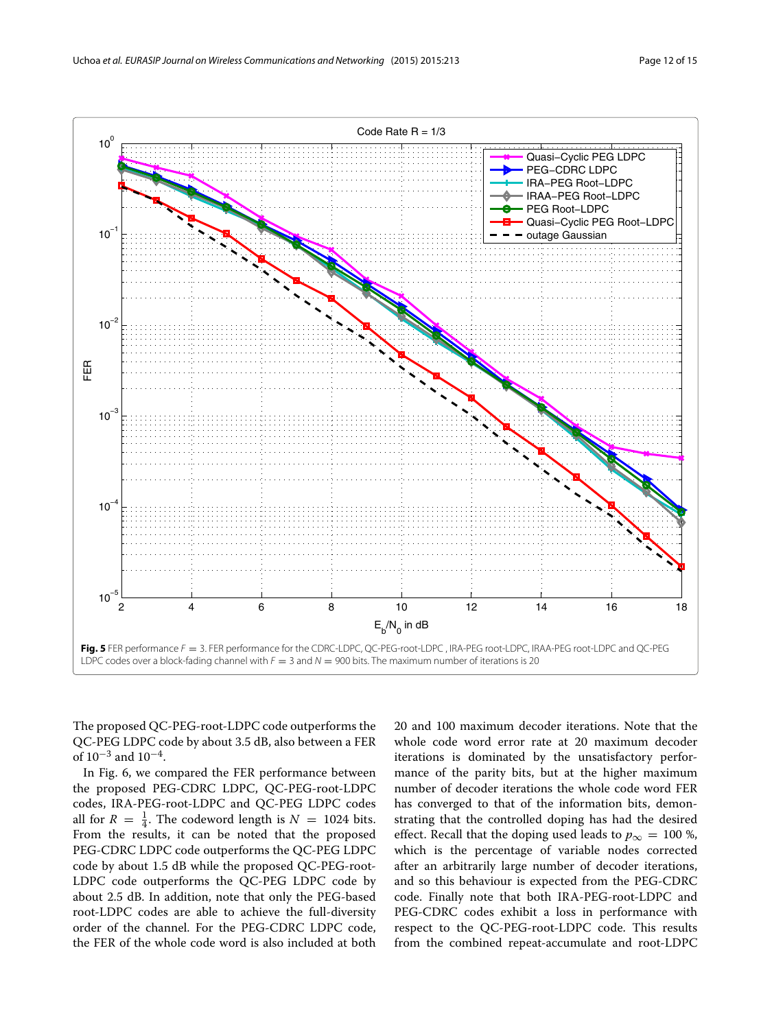![](_page_11_Figure_1.jpeg)

![](_page_11_Figure_2.jpeg)

<span id="page-11-0"></span>The proposed QC-PEG-root-LDPC code outperforms the QC-PEG LDPC code by about 3.5 dB, also between a FER of  $10^{-3}$  and  $10^{-4}$ .

In Fig. [6,](#page-12-1) we compared the FER performance between the proposed PEG-CDRC LDPC, QC-PEG-root-LDPC codes, IRA-PEG-root-LDPC and QC-PEG LDPC codes all for  $R = \frac{1}{4}$ . The codeword length is  $N = 1024$  bits. From the results, it can be noted that the proposed PEG-CDRC LDPC code outperforms the QC-PEG LDPC code by about 1.5 dB while the proposed QC-PEG-root-LDPC code outperforms the QC-PEG LDPC code by about 2.5 dB. In addition, note that only the PEG-based root-LDPC codes are able to achieve the full-diversity order of the channel. For the PEG-CDRC LDPC code, the FER of the whole code word is also included at both 20 and 100 maximum decoder iterations. Note that the whole code word error rate at 20 maximum decoder iterations is dominated by the unsatisfactory performance of the parity bits, but at the higher maximum number of decoder iterations the whole code word FER has converged to that of the information bits, demonstrating that the controlled doping has had the desired effect. Recall that the doping used leads to  $p_{\infty} = 100$  %, which is the percentage of variable nodes corrected after an arbitrarily large number of decoder iterations, and so this behaviour is expected from the PEG-CDRC code. Finally note that both IRA-PEG-root-LDPC and PEG-CDRC codes exhibit a loss in performance with respect to the QC-PEG-root-LDPC code. This results from the combined repeat-accumulate and root-LDPC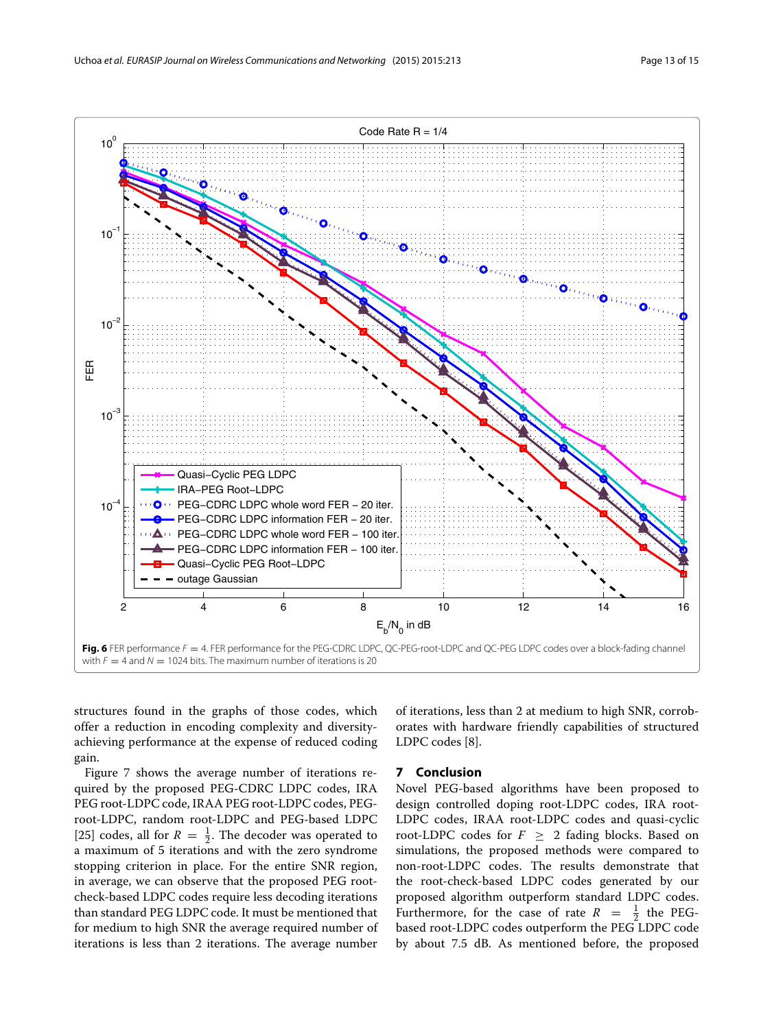![](_page_12_Figure_2.jpeg)

<span id="page-12-1"></span>structures found in the graphs of those codes, which offer a reduction in encoding complexity and diversityachieving performance at the expense of reduced coding gain.

Figure [7](#page-13-9) shows the average number of iterations required by the proposed PEG-CDRC LDPC codes, IRA PEG root-LDPC code, IRAA PEG root-LDPC codes, PEGroot-LDPC, random root-LDPC and PEG-based LDPC [\[25\]](#page-14-14) codes, all for  $R = \frac{1}{2}$ . The decoder was operated to a maximum of 5 iterations and with the zero syndrome stopping criterion in place. For the entire SNR region, in average, we can observe that the proposed PEG rootcheck-based LDPC codes require less decoding iterations than standard PEG LDPC code. It must be mentioned that for medium to high SNR the average required number of iterations is less than 2 iterations. The average number

of iterations, less than 2 at medium to high SNR, corroborates with hardware friendly capabilities of structured LDPC codes [\[8\]](#page-13-7).

### <span id="page-12-0"></span>**7 Conclusion**

Novel PEG-based algorithms have been proposed to design controlled doping root-LDPC codes, IRA root-LDPC codes, IRAA root-LDPC codes and quasi-cyclic root-LDPC codes for  $F \geq 2$  fading blocks. Based on simulations, the proposed methods were compared to non-root-LDPC codes. The results demonstrate that the root-check-based LDPC codes generated by our proposed algorithm outperform standard LDPC codes. Furthermore, for the case of rate  $R = \frac{1}{2}$  the PEGbased root-LDPC codes outperform the PEG LDPC code by about 7.5 dB. As mentioned before, the proposed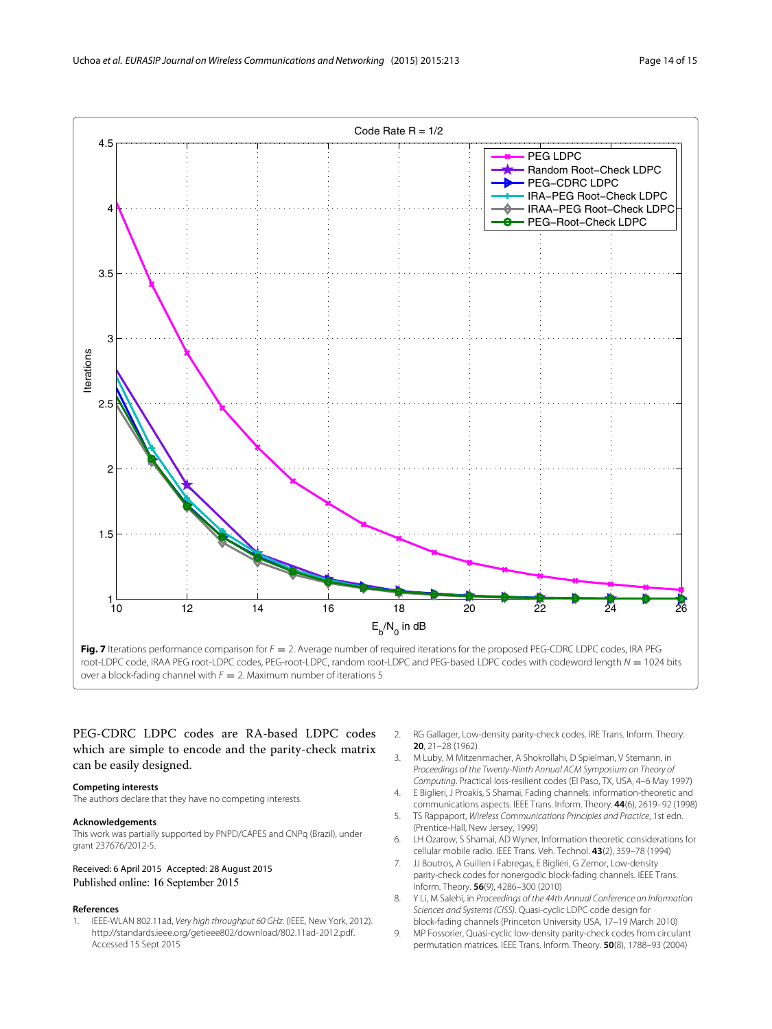![](_page_13_Figure_1.jpeg)

<span id="page-13-9"></span>PEG-CDRC LDPC codes are RA-based LDPC codes which are simple to encode and the parity-check matrix can be easily designed.

#### **Competing interests**

The authors declare that they have no competing interests.

#### **Acknowledgements**

This work was partially supported by PNPD/CAPES and CNPq (Brazil), under grant 237676/2012-5.

### Received: 6 April 2015 Accepted: 28 August 2015 Published online: 16 September 2015

#### **References**

<span id="page-13-0"></span>1. IEEE-WLAN 802.11ad, Very high throughput 60 GHz. (IEEE, New York, 2012). [http://standards.ieee.org/getieee802/download/802.11ad-2012.pdf.](http://standards.ieee.org/getieee802/download/802.11ad-2012.pdf) Accessed 15 Sept 2015

- <span id="page-13-1"></span>2. RG Gallager, Low-density parity-check codes. IRE Trans. Inform. Theory. **20**, 21–28 (1962)
- <span id="page-13-2"></span>3. M Luby, M Mitzenmacher, A Shokrollahi, D Spielman, V Stemann, in Proceedings of the Twenty-Ninth Annual ACM Symposium on Theory of Computing. Practical loss-resilient codes (El Paso, TX, USA, 4–6 May 1997)
- <span id="page-13-3"></span>4. E Biglieri, J Proakis, S Shamai, Fading channels: information-theoretic and communications aspects. IEEE Trans. Inform. Theory. **44**(6), 2619–92 (1998)
- <span id="page-13-4"></span>5. TS Rappaport, Wireless Communications Principles and Practice, 1st edn. (Prentice-Hall, New Jersey, 1999)
- <span id="page-13-5"></span>6. LH Ozarow, S Shamai, AD Wyner, Information theoretic considerations for cellular mobile radio. IEEE Trans. Veh. Technol. **43**(2), 359–78 (1994)
- <span id="page-13-6"></span>7. JJ Boutros, A Guillen i Fabregas, E Biglieri, G Zemor, Low-density parity-check codes for nonergodic block-fading channels. IEEE Trans. Inform. Theory. **56**(9), 4286–300 (2010)
- <span id="page-13-7"></span>8. Y Li, M Salehi, in Proceedings of the 44th Annual Conference on Information Sciences and Systems (CISS). Quasi-cyclic LDPC code design for block-fading channels (Princeton University USA, 17–19 March 2010)
- <span id="page-13-8"></span>9. MP Fossorier, Quasi-cyclic low-density parity-check codes from circulant permutation matrices. IEEE Trans. Inform. Theory. **50**(8), 1788–93 (2004)